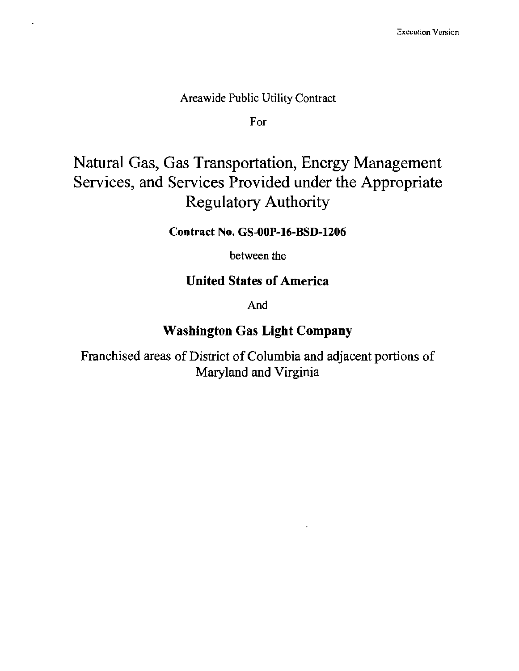### Areawide Public Utility Contract

For

# Natural Gas, Gas Transportation, Energy Management Services, and Services Provided under the Appropriate Regulatory Authority

### Contract No. GS-OOP-16-BSD-1206

between the

# **United States of America**

And

# Washington Gas Light Company

Franchised areas of District of Columbia and adjacent portions of Maryland and Virginia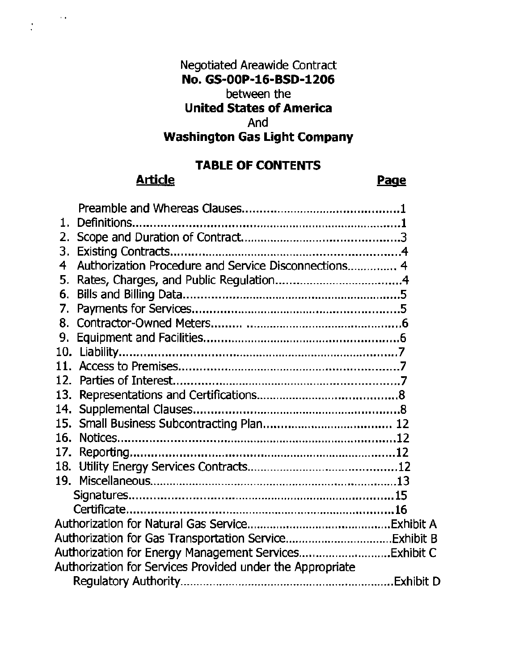# Negotiated Areawide Contract No. GS-00P-16-BSD-1206 between the United States of America And Washington Gas Light Company

# TABLE OF CONTENTS

## Article **Page**

 $\sim$   $\star$ 

 $\frac{1}{2}$ 

| 1.                                                        |                                                      |  |
|-----------------------------------------------------------|------------------------------------------------------|--|
|                                                           |                                                      |  |
|                                                           |                                                      |  |
| 4                                                         | Authorization Procedure and Service Disconnections 4 |  |
| 5.                                                        |                                                      |  |
| 6.                                                        |                                                      |  |
| 7.                                                        |                                                      |  |
|                                                           |                                                      |  |
| 9.                                                        |                                                      |  |
|                                                           |                                                      |  |
|                                                           |                                                      |  |
| 12.                                                       |                                                      |  |
| 13.                                                       |                                                      |  |
| 14.                                                       |                                                      |  |
|                                                           |                                                      |  |
|                                                           |                                                      |  |
| 17.                                                       |                                                      |  |
|                                                           |                                                      |  |
|                                                           |                                                      |  |
|                                                           |                                                      |  |
|                                                           |                                                      |  |
|                                                           |                                                      |  |
|                                                           |                                                      |  |
|                                                           |                                                      |  |
| Authorization for Services Provided under the Appropriate |                                                      |  |
|                                                           |                                                      |  |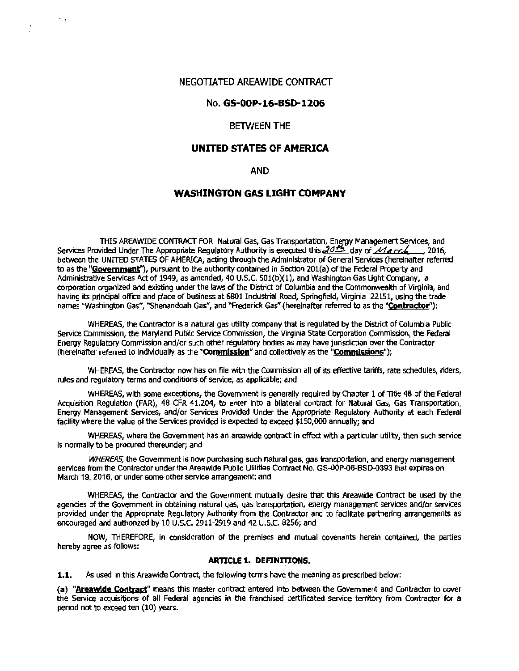#### NEGOTIATED AREAWIDE CONTRACT

 $\ddot{\phantom{a}}$ 

#### No. GS-OOP-16-BSD-1206

#### BETWEEN THE

#### UNITED STATES OF AMERICA

#### AND

#### WASHINGTON GAS LIGHT COMPANY

THIS AREAWIDE CONTRACT FOR Natural Gas, Gas Transportation, Energy Management Services, and Services Provided Under The Appropriate Regulatory Authority is executed this...2015, day of *March*, 2016, between the UNITED STATES OF AMERICA, acting through the Administrator of General Services (hereinafter referred to as the "Government"), pursuant to the authority contained in Section 201(a) of the Federal Property and Administrative Services Act of 1949, as amended, 40 U.S.C. 501(b)(l), and Washington Gas Light Company, a corporation organized and existing under the laws of the District of Columbia and the Commonwealth of Virginia, and having its principal office and place of business at 6801 Industrial Road, Springfield, Virginia 22151, using the trade names "Washington Gas", "Shenandoah Gas", and "Frederick Gas" (hereinafter referred to as the "Contractor"):

WHEREAS, the Contractor is a natural gas utility company that is regulated by the District of Columbia Public Service Commission, the Maryland Public Service Commission, the Virginia State Corporation Commission, the Federal Energy Regulatory Commission and/or such other regulatory bodies as may have jurisdiction over the Contractor (hereinafter referred to individually as the "Commission" and collectively as the "Commissions");

WHEREAS, the Contractor now has on file with the Commission all of its effective tariffs, rate schedules, riders, rules and regulatory terms and conditions of service, as applicable; and

WHEREAS, with some exceptions, the Government is generally required by Chapter 1 of Title 48 of the Federal Acquisition Regulation (FAR), 48 CFR 41.204, to enter into a bilateral contract for Natural Gas, Gas Transportation, Energy Management Services, and/or Services Provided Under the Appropriate Regulatory Authority at each Federal facility where the value of the Services provided is expected to exceed \$150,000 annually; and

WHEREAS, where the Government has an areawide contract in effect with a particular utility, then such service is normally to be procured thereunder; and

*WHEREAS,* the Government is now purchasing such natural gas, gas transportation, and energy management services from the Contractor under the Areawide Public Utilities Contract No. GS-OOP-06-BSD-0393 that expires on March 19, 2016, or under some other service arrangement; and

WHEREAS, the Contractor and the Government mutually desire that this Areawide Contract be used by the agencies of the Government in obtaining natural gas, gas transportation, energy management services and/or services provided under the Appropriate Regulatory Authority from the Contractor and to facilitate partnering arrangements as encouraged and authorized by 10 U.S.C. 2911-2919 and 42 U.S.C. 8256; and

NOW, THEREFORE, in consideration of the premises and mutual covenants herein contained, the parties hereby agree as follows:

#### ARTICLE 1. DEFINITIONS.

1.1. As used in this Areawide Contract, the following terms have the meaning as prescribed below:

(a) "Areawide Contract" means this master contract entered into between the Government and Contractor to cover the Service acquisitions of all Federal agencies in the franchised certificated service territory from Contractor for a period not to exceed ten (10) years.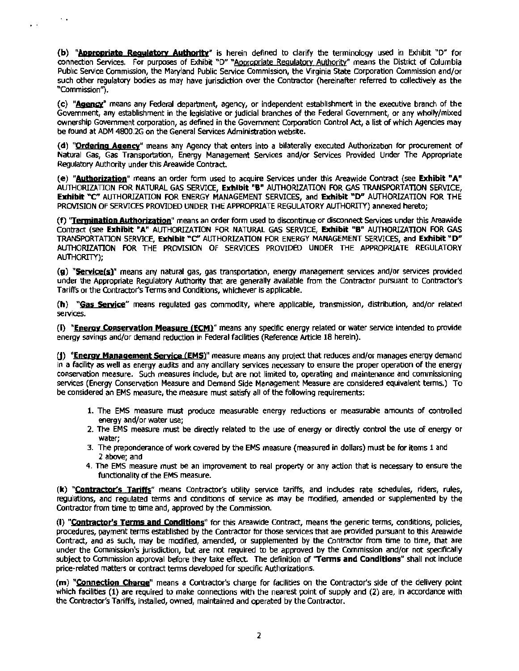(b) "Appropriate Requlatory Authority" is herein defined to clarify the terminology used in Exhibit "D" for connection Services. For purposes of Exhibit "D" "Appropriate Regulatory Authority" means the District of Columbia Pubhc Service Commission, the Maryland Public Service Commission, the Virginia State Corporation Commission and/or such other regulatory bodies as may have jurisdiction over the Contractor (hereinafter referred to collectively as the "Commission"}.

..

 $\ddot{\phantom{1}}$ 

(c) **"Aaency"** means any Federal department, agency, or independent establishment in the executive branch of the Government, any establishment in the legislative or judicial branches of the Federal Government, or any wholly/mixed ownership Government corporation, as defined in the Government Corporation Control Act, a list of which Agencies may be found at ADM 4800 .2G on the General Services Administration website.

**(d) "Orclering Agency"** means any Agency that enters into a bilaterally executed Authorization for procurement of Natural Gas, Gas Transportation, Energy Management Services and/or Services Provided Under The Appropriate Regulatory Authority under this Areawide Contract.

**(e) "Aytborjption"** means an order form used to acquire Services under this Areawide Contract (see **Exhibit "A"**  AUTHORIZATION FOR NATURAL GAS SERVICE, **Exhibit "B"** AUTHORIZATION FOR GAS TRANSPORTATION SERVICE, **Exhibit** "C" AUTHORIZATION FOR ENERGY MANAGEMENT SERVICES, and **Exhibit "D"** AUTHORIZATION FOR THE PROVISION OF SERVICES PROVIDED UNDER THE APPROPRIATE REGULATORY AUTHORITY) annexed hereto;

**(f) 'Tennjnation Autborigtion"** means an order form used to discontinue or disconnect Services under this Areawide Contract (see **Exhibit "A"** AUTHORIZATION FOR NATURAL GAS SERVICE, **Exhibit "B"** AUTHORIZATION FOR GAS TRANSPORTATION SERVICE, **Exhibit** •C" AUTHORIZATION FOR ENERGY MANAGEMENT SERVICES, and **Exhibit "D"**  AUTHORIZATION FOR THE PROVISION Of SERVICES PROVIDED UNDER THE APPROPRIATE REGULATORY AUTHORITY);

**(g) "Service(s)"** means any natural gas, gas transportation, energy management services and/or services provided under the Appropriate Regulatory Authority that are generally available from the Contractor pursuant to Contractor's Tariffs or the Contractor's Terms and Conditions, whichever is applicable.

**(h) "Gas Service"** means regulated gas commodity, where applicable, transmission, distribution, and/or related services.

{I) **"Energy Conservation Measure CEcMr** means any specific energy related or water service Intended to provide energy savings and/or demand reduction in Federal facilities (Reference Article 18 herein).

**CJ) "Energy Manaaement Service (EMS)"** measure means any project that reduces and/or manages energy demand in a facility as well as energy audits and any ancillary services necessary to ensure the proper operation of the energy conservation measure. Such measures Include, but are not limited to, operating and maintenance and commissioning services (Energy Conservation Measure and Demand Side Management Measure are considered equivalent terms.) To be considered an EMS measure, the measure must satisfy all of the following requirements:

- 1. The EMS measure must produce measurable energy reductions or measurable amounts of controlled energy and/or water use;
- 2. The EMS measure must be directly related to the use of energy or directly control the use of energy or water;
- 3. The preponderance of work covered by the EMS measure (measured in dollars) must be for items 1 and 2 above; and
- 4. The EMS measure must be an improvement to real property or any action that is necessary to ensure the functionality of the EMS measure.

**(k) "Contractor's Tariffs"** means Contractor's utility service tariffs, and indudes rate schedules, riders, rules, regulations, and regulated terms and conditions of service as may be modified, amended or supplemented by the Contractor from time to time and, approved by the Commission.

(I) **"Contractor's Terms and Conditions"** for this Areawide Contract, means the generic terms, conditions, policies, procedures, payment terms established by the Contractor for those services that are provided pursuant to this Areawide Contract, and as such, may be modified, amended, or supplemented by the Contractor from time to time, that are under the Commission's jurisdiction, but are not required to be approved by the Commission and/or not specifically subject to Commission approval before they take effect. The definition of **''Terms and Conditions"** shall not include price-related matters or contract tenns developed for specific Authorizations.

**(m) "Connection Chama"** means a Contractor's charge for facilities on the Contractor's side of the delivery point which facilities (1) are required to make connections with the nearest point of supply and (2) are, in accordance with the Contractor's Tariffs, installed, owned, maintained and operated by the Contractor.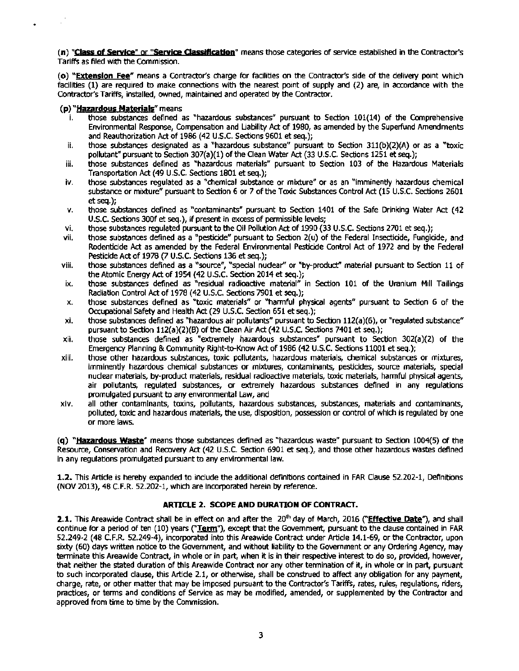**(n) "Class of Seryk:e" or "\$entice Qasslflcation"** means those categories of service established in the Contractor's Tariffs as filed with the Commission.

**(o) "Extension Fee"** means a Contractor's charge for facilities on the Contractor's side of the delivery point which facilities (1) are required to make connections with the nearest point of supply and (2) are, in accordance with the C.Ontractor's Tariffs, installed, owned, maintained and operated by the Contractor.

#### **(p) "Hazardous Materials"** means

 $\mathcal{E}^{\mathcal{E}}$ 

- $i.$  those substances defined as "hazardous substances" pursuant to Section  $101(14)$  of the Comprehensive Environmental Response, Compensation and Liability Act of 1980, as amended by the Superfund Amendments and Reauthorization Act of 1986 (42 U.S.C. Sections 9601 et seq.);
- ii. those substances designated as a "hazardous substance" pursuant to Section 311(b)(2)(A) or as a "toxic pollutant" pursuant to Section 307(a)(1) of the Clean Water Act (33 U.S.C. Sections 1251 et seq.);
- iii. those substances defined as "hazardous materials" pursuant to Section 103 of the Hazardous Materials Transportation Act (49 U.S.C. Sections 1801 et seq.);
- iv. those substances regulated as a "chemical substance or mixture" or as an "imminently hazardous chemical substance or mixture" pursuant to Section 6 or *7* of the Toxic Substances Control Act (15 U.S.C. Sections 2601 et seq.);
- v. those substances defined as "contaminants" pursuant to Section 1401 of the Safe Drinking Water Act (42 U.S.C. Sections 300f et seq.), if present in excess of permissible levels;
- vi. those substances regulated pursuant to the Oil Pollution Act of 1990 (33 U.S.C. Sections 2701 et seq.);
- vii. those substances defined as a "pesticide" pursuant to Section 2(u) of the Federal Insecticide, Fungicide, and Rodenticide Act as amended by the Federal Environmental Pesticide Control Act of 1972 and by the Federal Pesticide Act of 1978 (7 U.S.C. Sections 136 et seq.);
- viii. those substances defined as a "source", "special nudear" or "by-product" material pursuant to Section 11 of the Atomic Energy Act of 1954 (42 U.S.C. Section 2014 et seq.);
- ix. those substances defined as "residual radioactive material" in Section 101 of the Uranium Mill Tailings Radiation Control Act of 1978 (42 U.S.C. Sections 7901 et seq.);
- x. those substances defined as "toxic materials" or "harmful physical agents" pursuant to Section 6 of the Occupational Safety and Health Act (29 U.S.C. Section 651 et seq.);
- xi. those substances defined as "hazardous air pollutants" pursuant to Section 112(a)(6), or "regulated substance" pursuant to Section 112(a)(2)(B) of the Clean Air Act (42 U.S.C. Sections 7401 et seq.);
- xii. those substances defined as "extremely hazardous substances" pursuant to Section 302(a)(2) of the Emergency Planning & Community Right-to-Know Act of 1986 (42 U.S.C. Sections 11001 et seq.);
- xiii. those other hazardous substances, toxic pollutants, hazardous materials, chemical substances or mixtures, imminently hazardous chemical substances or mixtures, contaminants, pesticides, source materials, special nuclear materials, by-product materials, residual radioactive materials, toxic materials, harmful physical agents, air pollutants, regulated substances, or extremely hazardous substances defined in any regulations promulgated pursuant to any environmental Law, and
- xiv. all other contaminants, toxins, pollutants, hazardous substances, substances, materials and contaminants, polluted, toxic and hazardous materials, the use, disposition, possession or control of which is regulated by one or more laws.

**(q) "Hazardous Waste"** means those substances defined as "hazardous waste" pursuant to Section 1004(5) of the Resource, Conservation and Recovery Act (42 U.S.C. Section 6901 et seq.), and those other hazardous wastes defined in any regulations promulgated pursuant to any environmental law.

**1.2.** This Artide is hereby expanded to include the additional definitions contained in FAR Clause 52.202-1, Definitions (NOV 2013), 48 C.F.R. 52.202-1, which are incorporated herein by reference.

#### **ARTICLE 2. SCOPE AND DURATION OF CONTRACT.**

**2.1.** This Areawide Contract shall be in effect on and after the 20<sup>th</sup> day of March, 2016 ("Effective Date"), and shall continue for a period of ten (10) years ("Ierm"), except that the Government, pursuant to the clause contained in FAR 52.249-2 (48 C.F.R. 52.249-4), incorporated into this Areawide Contract under Article 14.1-69, or the Contractor, upon sixty (60) days written notice to the Government, and without liability to the Government or any Ordering Agency, may terminate this Areawide Contract, in whole or in part, when it is in their respective interest to do so, provided, however, that neither the stated duration of this Areawide Contract nor any other termination of it, in whole or in part, pursuant to such incorporated clause, this Article 2.1, or otherwise, shall be construed to affect any obligation for any payment, charge, rate, or other matter that may be imposed pursuant to the Contractor's Tariffs, rates, rules, regulations, riders, practices, or terms and conditions of Service as may be modified, amended, or supplemented by the Contractor and approved from time to time by the Commission.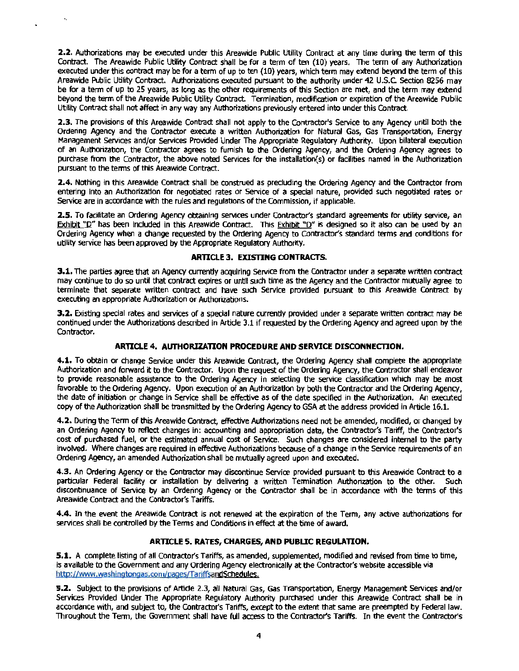**2.2.** Authorizations may be executed under this Areawide Public utility Contract at any time during the term of this Contract. The Areawide Public Utility Contract shall be for a term of ten (10) years. The term of any Authorization executed under this contract may be for a term of up to ten (10) years, which term may extend beyond the term of this Areawide Public Utility Contract. Authorizations executed pursuant to the authority under 42 U.S.C Section 8256 may be for a tenn of up to 25 years, as long as the other requirements of this Section are met, and the term may extend beyond the term of the Areawide Public Utility Contract. Termination, modification or expiration of the Areawide Public Utility Contract shall not affect in any way any Authorizations previously entered into under this Contract.

..

**2.3.** The provisions of this Areawide Contract shall not apply to the Contractor's Service to any Agency until both the Ordering Agency and the Contractor execute a written Authorization for Natural Gas, Gas Transportation, Energy Management Services and/or Services Provided Under The Appropriate Regulatory Authority. Upon bilateral exeaition of an Authorization, the Contractor agrees to furnish to the Ordering Agency, and the Ordering Agency agrees to purchase from the Contractor, the above noted Services for the installation(s) or facilities named in the Authorization pursuant to the terms of this Areawide Contract.

2.4. Nothing in this Areawide Contract shall be construed as precluding the Ordering Agency and the Contractor from entering into an Authorization for negotiated rates or Service of a special nature, provided such negotiated rates or Service are in accordance with the rules and regulations of the Commission, if applicable.

**2.5.** To facilitate an Ordering Agency obtaining services under Contractor's standard agreements for utility service, an Exhibit "D" has been included in this Areawide Contract. This Exhibit "D" is designed so it also can be used by an Ordering Agency when a change requested by the Ordering Agency to Contractor's standard terms and conditions for utility service has been approved by the Appropriate Regulatory Authority.

#### **ARTICLE 3. EXISTING CONTRACTS.**

**3.1.** The parties agree that an Agency currently acquiring service from the Contractor under a separate written contract may continue to do so until that contract expires or until such time as the Agency and the Contractor mutually agree to terminate that separate written contract and have such Service provided pursuant to this Areawide Contract by executing an appropriate Authorization or Authorizations.

**3.2.** Existing special rates and services of a special nature currently provided under a separate written contract may be continued under the Authorizations described in Artide 3.1 if requested by the Ordering Agency and agreed upon by the Contractor.

#### **ARTICLE 4. AUTHORIZATION PROCEDURE AND SERVICE DISCONNECTION.**

**4.1.** To obtain or change Service under this Areawide Contract, the Ordering Agency shall complete the appropriate Authorization and forward it to the Contractor. Upon the request of the Ordering Agency, the Contractor shall endeavor to provide reasonable assistance to the Ordering Agency in selecting the service classification which may be most favorable to the Ordering Agency. Upon execution of an Authorization by both the Contractor and the Ordering Agency, the date of initiation or change in Service shall be effective as of the date specified in the Authorization. An executed copy of the Authorization shall be transmitted by the Ordering Agency to GSA at the address provided in Article 16.1.

**4.2.** During the Term of this Areawide Contract, effective Authorizations need not be amended, modified, or changed by an Ordering Agency to reflect changes in: accounting and appropriation data, the Contractor's Tariff, the Contractor's cost of purchased fuel, or the estimated annual cost of Service. Such changes are considered internal to the party involved. Where changes are required in effective Authorizations because of a change in the Service requirements of an Ordering Agency, an amended Authorization shall be mutually agreed upon and executed.

4.3. An Ordering Agency or the Contractor may discontinue Service provided pursuant to this Areawide Contract to a particular Federal facility or installation by delivering a written Termination Authorization to the other. Such discontinuance of Service by an Ordering Agency or the Contractor shall be in accordance with the terms of this Areawide Contract and the Contractor's Tariffs.

**4.4.** In the event the Areawide Contract is not renewed at the expiration of the Term, any active authorizations for services shall be controlled by the Terms and Conditions in effect at the time of award.

#### **ARTICLE 5. RATES, CHARGES, AND PUBLIC REGULATION.**

**5.1. A** complete listing of all Contractor's Tariffs, as amended, supplemented, modified and revised from time to time, is available to the Government and any Ordering Agency electronically at the Contractor's website accessible via http://www.washingtongas.com/pages/TariffsandSchedules.

**5.2.** Subject to the provisions of Artide 2.3, all Natural Gas, Gas Transportation, Energy Management Services and/or Services Provided Under The Appropriate Regulatory Authority purchased under this Areawide Contract shall be in accordance with, and subject to, the Contractor's Tariffs, except to the extent that same are preempted by Federal law. Throughout the Term, the Government shall have full access to the Contractor's Tariffs. In the event the Contractor's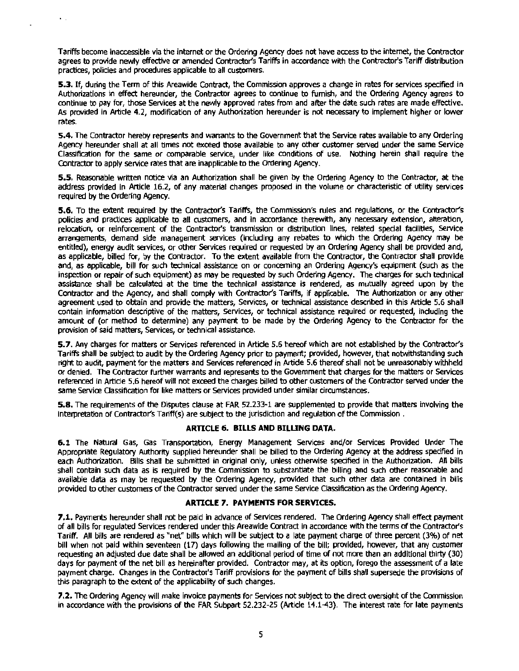Tariffs become inaccessible via the internet or the Ordering Agency does not have access to the internet, the Contractor agrees to provide newly effective or amended Contractor's Tariffs in accordance with the Contractor's Tariff distribution practices, policies and procedures applicable to all customers.

 $\ddot{\phantom{a}}$ 

**5.3.** If, during the Term of this Areawide Contract, the Commission approves a change in rates for services specified in Authorizations in effect hereunder, the Contractor agrees to continue to furnish, and the Ordering Agency agrees to continue to pay for, those Services at the newly approved rates from and after the date such rates are made effective. As provided in Article 4.2, modification of any Authorization hereunder is not necessary to implement higher or lower rates.

**5.4.** The Contractor hereby represents and warrants to the Government that the Service rates available to any Ordering Agency hereunder shall at all times not exceed those available to any other customer served under the same Service Classification for the same or comparable service, under like conditions of use. Nothing herein shall require the Contractor to apply service rates that are inapplicable to the Ordering Agency.

**5.5.** Reasonable written notice via an Authorization shall be given by the Ordering Agency to the Contractor, at the address provided in Article 16.2, of any material changes proposed in the volume or characteristic of utility services required by the Ordering Agency.

**5.6.** To the extent required by the Contractor's Tariffs, the Commission's rules and regulations, or the Contractor's policies and practices applicable to all customers, and in accordance therewith, any necessary extension, alteration, relocation, or reinforcement of the Contractor's transmission or distribution lines, related special facilities, Service arrangements, demand side management services (including any rebates to which the Ordering Agency may be entitled), energy audit services, or other Services required or requested by an Ordering Agency shall be provided and, as applicable, billed for, by the Contractor. To the extent available from the Contractor, the Contractor shall provide and, as applicable, bill for such technical assistance on or concerning an Ordering Agency's equipment (such as the inspection or repair of such equipment) as may be requested by such Ordering Agency. The charges for such technical assistance shall be calculated at the time the technical assistance is rendered, as mutually agreed upon by the Contractor and the Agency, and shall comply with Contractor's Tariffs, if applicable. The Authorization or any other agreement used to obtain and provide the matters, Services, or technical assistance described in this Artide 5.6 shall contain information descriptive of the matters, Services, or technical assistance required or requested, induding the amount of (or method to determine) any payment to be made by the Ordering Agency to the Contractor for the provision of said matters, Services, or technical assistance.

**5.7.** Any charges for matters or Services referenced in Artide 5.6 hereof which are not established by the Contractor's Tariffs shall be subject to audit by the Ordering Agency prior to payment; provided, however, that notwithstanding such right to audit, payment for the matters and Services referenced in Altide 5.6 thereof shall not be unreasonably withheld or denied. The Contractor further warrants and represents to the Government that charges for the matters or Services referenced in Article 5.6 hereof will not exceed the charges billed to other customers of the Contractor served under the same Service Oassification for like matters or Services provlded under similar circumstances.

**5.8.** The requirements of the Disputes clause at FAR 52.233-1 are supplemented to provide that matters involving the interpretation of Contractor's Tariff(s) are subject to the jurisdiction and regulation of the Commission.

#### **ARTICLE 6. BILLS AND BILUNG DATA.**

**6.1** The Natural Gas, Gas Transportation, Energy Management Services and/or Services Provided Under The Appropriate Regulatory Authority supplied hereunder shall be billed to the Ordering Agency at the address specified in each Authorization. Bills shall be submitted in original only, unless otherwise specified in the Authorization. All bills shall contain such data as is required by the Commission to substantiate the billing and such other reasonable and available data as may be requested by the Ordering Agency, provided that such other data are contained in bills provided to other customers ofthe Contractor served under the same Service Classification as the Ordering Agency.

#### **ARTICLE 7. PAYMENTS FOR SERVICES.**

**7.1.** Payments hereunder shall not be paid in advance of Services rendered. The Ordering Agency shall effect payment of all bills for regulated Services rendered under this Areawide Contract in accordance with the terms ofthe contractor's Tariff. All bills are rendered as "net" bills which will be subject to *a* late payment charge of three percent (3%) of net bill when not paid within seventeen (17) days following the mailing of the bill; provided, however, that any customer requesting an adjusted due date shall be allowed an additional period of time of not more than an additional thirty (30) days for payment of the net bill as hereinafter provided. Contractor may, at its option, forego the assessment of a late payment charge. Changes In the Contractor's Tariff provisions for the payment of bills shall supersede the provisions of this paragraph to the extent of the applicability of such changes.

**7.2.** The Ordering Agency will make invoice payments for Services not subject to the direct oversight of the Commission in accordance with the provisions of the FAR Subpart 52.232-25 (Article 14.1-43). The interest rate for late payments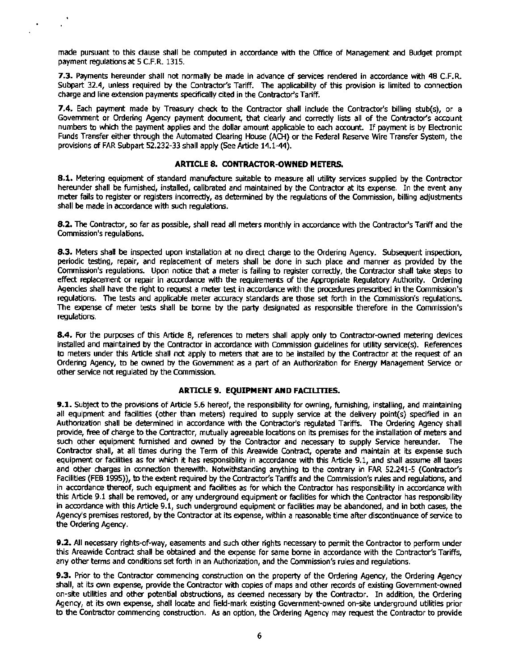made pursuant to this dause shall be computed in accordance with the Office of Management and Budget prompt payment regulations at 5 C.F.R. 1315.

 $\bullet$ 

**7.3.** Payments hereunder shall not normally be made in advance of services rendered In accordance with 48 C.F.R. Subpart 32.4, unless required by the Contractor's Tariff. The applicability of this provision is limited to connection charge and line extension payments specifically cited in the Contractor's Tariff.

**7.4.** Each payment made by Treasury check to the Contractor shall include the Contractor's billing stub(s), or a Government or Ordering Agency payment document, that clearly and correctly lists all of the Contractor's account numbers to which the payment applies and the dollar amount applicable to each account. If payment is by Electronic Funds Transfer either through the Automated Clearing House (ACH) or the Federal Reserve Wire Transfer System, the provisions of FAR Subpart 52.232-33 shall apply (See Article 14.1-44).

#### **ARTICLE 8. CONTRACTOR·OWNED METERS.**

**8.1.** Metering equipment of standard manufacture suitable to measure all utility services supplied by the Contractor hereunder shall be furnished, installed, calibrated and maintained by the Contractor at its expense. In the event any meter fails to register or registers incorrectly, as detennined by the regulations of the Commission, billing adjustments shall be made in accordance with such regulations.

**8.2.** The Contractor, so far as possible, shall read all meters monthly in accordance with the Contractor's Tariff and the Commission's regulations.

**8.3.** Meters shall be inspected upon installation at no direct charge to the Ordering Agency. Subsequent inspection, periodic testing, repair, and replacement of meters shall be done in such place and manner as provided by the Commission's regulations. Upon notice that a meter is failing to register correctly, the Contractor shall take steps to effect replacement or repair in accordance with the requirements of the Appropriate Regulatory Authority. Ordering Agencies shall have the right to request a meter test in accordance with the procedures prescribed in the Commission's regulations. The tests and applicable meter accuracy standards are those set forth in the Commission's regulations. The expense of meter tests shall be borne by the party designated as responsible therefore in the Commission's regulations.

**8.4.** For the purPoses of this Artide 8, references to meters shall apply only to Contractor-owned metering devices installed and maintained by the Contractor in accordance with Commission guidelines for utility service(s). References to meters under this Article shall not apply to meters that are to be installed by the Contractor at the request of an Ordering Agency, to be owned by the Government as a part of an Authorization for Energy Management Service or other service not regulated by the Commission.

#### **ARTICLE 9. EQUIPMENT AND FAQLITIES.**

**9.1.** Subject to the provisions of Article 5.6 hereof, the responsibility for owning, furnishing, installing, and maintaining all equipment and facilities (other than meters) required to supply service at the delivery point(s) specified in an Authorization shall be determined in accordance with the Contractor's regulated Tariffs. The Ordering Agency shall provide, free of charge to the Contractor, mutually agreeable locations on its premises for the installation of meters and such other equipment furnished and owned by the Contractor and necessary to supply Service hereunder. The Contractor shall, at all times during the Term of this Areawide Contract, operate and maintain at its expense such equipment or facilities as for which it has responsibility in accordance with this Article 9.1, and shall assume all taxes and other charges in connection therewith. Notwithstanding anything to the contrary in FAR 52.241-5 (Contractor's Facilities (FEB 1995)), to the extent required by the Contractor's Tariffs and the Commission's rules and regulations, and in accordance thereof, such equipment and facilities as for which the Contractor has responsibility in accordance with this Article 9.1 shall be removed, or any underground equipment or facilibes for which the Contractor has responsibility in accordance with this Article 9.1, such underground equipment or facilities may be abandoned, and in both cases, the Agency's premises restored, by the Contractor at its expense, within a reasonable time after discontinuance of service to the Ordering Agency.

**9.2.** All necessary rights-of"way, easements and such other rights necessary to permit the Contractor to perform under this Areawide Contract shall be obtained and the expense for same borne in accordance with the Contractor's Tariffs, any other terms and conditions set forth in an Authorization, and the Commission's rules and regulations.

9.3. Prior to the Contractor commencing construction on the property of the Ordering Agency, the Ordering Agency shall, at its own expense, provide the Contractor with copies of maps and other records of existing Government-owned on-site utilities and other potential obstructions, as deemed necessary by the Contractor. In addition, the Ordering Agency, at its own expense, shall locate and field-mark existing Government-owned on-site underground utilities prior to the Contractor commencing construction. As an option, the Ordering Agency may request the Contractor to provide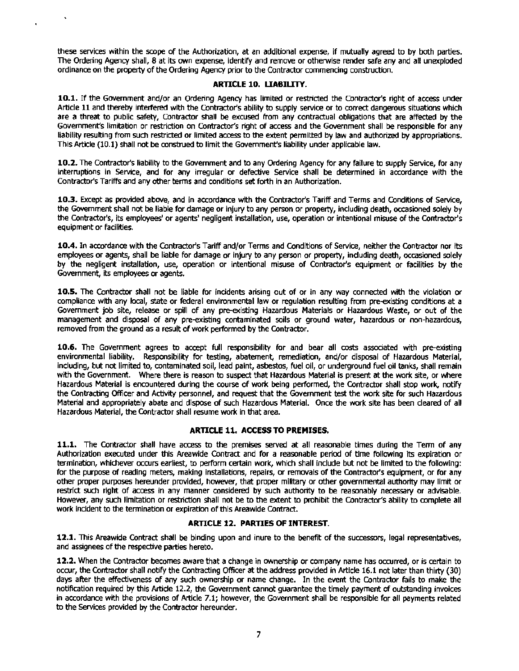these services within the scope of the Authorization, at an additional expense, if mutually agreed to by both parties. The Ordering Agency shall, 8 at its own expense, identify and remove or otherwise render safe any and all unexploded ordinance on the property of the Ordering Agency prior to the Contractor commencing construction.

#### **ARTICLE 10. UABILITY.**

**10.1.** If the Government and/or an Ordering Agency has limited or restricted the Contractor's right of access under Article 11 and thereby interfered with the Contractor's ability to supply service or to correct dangerous situations which are a threat to public safety, Contractor shall be excused from any contractual obligations that are affected by the Government's limitation or restriction on Contractor's right of access and the Government shall be responsible for any liability resulting from such restricted or limited access to the extent permitted by law and authorized by appropriations. This Article (10.l) shall not be construed to limit the Government's liability under applicable law.

**10.2.** The Contractor's liability to the Government and to any Ordering Agency for any failure to supply Service, for any interruptions in Service, and for any irregular or defective Service shall be determined in accordance with the Contractor's Tariffs and any other terms and conditions set forth in an Authorization.

**10.3.** Except as provided above, and in accordance with the Contractor's Tariff and Terms and Conditions of Service, the Government shall not be liable for damage or injury to any person or property, including death, occasioned solely by the Contractor's, its employees' or agents' negligent installation, use, operation or intentional misuse of the Contractor's equipment or facilities.

**10.4.** In accordance with the Contractor's Tariff and/or Terms and Conditions of Service, neither the Contractor nor its employees or agents, shall be liable for damage or injury to any person or property, indudlng death, occasioned solely by the negligent installation, use, operation or intentional misuse of Contractor's equipment or facilities by the Government, its employees or agents.

**10.5.** The Contractor shall not be liable for incidents arising out of or in any way connected with the violation or compliance with any local, state or federal environmental law or regulation resulting from pre-existing conditions at a Government job site, release or spill of any pre-existing Hazardous Materials or Hazardous Waste, or out of the management and disposal of any pre-existing contaminated soils or ground water, hazardous or non-hazardous, removed from the ground as a result of work performed by the Contractor.

**10.6.** The Government agrees to accept full responsibility for and bear all costs associated with pre-existing environmental liability. Responsibility for testing, abatement, remediation, and/or disposal of Hazardous Material, including, but not limited to, contaminated soil, lead paint, asbestos, fuel oil, or underground fuel oil tanks, shall remain with the Government. Where there is reason to suspect that Hazardous Material is present at the work site, or where Hazardous Material is encountered during the course of work being performed, the Contractor shall stop work, notify the Contracting Officer and Activity personnel, and request that the Government test the work site for such Hazardous Material and appropriately abate and dispose of such Hazardous Material. Once the work site has been cleared of all Hazardous Material, the Contractor shall resume work in that area.

#### **ARTICLE 11. ACCESS TO PREMISES.**

**11.1.** The Contractor shall have access to the premises served at all reasonable times during the Term of any Authorization executed under this Areawide Contract and for a reasonable period of time following its expiration or termination, whichever occurs earliest, to perform certain work, which shall include but not be limited to the following: for the purpose of reading meters, making installations, repairs, or removals of the Contractor's equipment, or for any other proper purposes hereunder provided, however, that proper military or other governmental authority may limit or restrict such right of access in any manner considered by such authority to be reasonably necessary or advisable. However, any such limitation or restriction shall not be to the extent to prohibit the Contractor's ability to complete all work incident to the termination or expiration of this Areawide Contract.

#### **ARTICLE 12. PARTIES OF INTEREST.**

**12.1.** This Areawide Contract shall be binding upon and inure to the benefit of the successors, legal representatives, and assignees of the respective parties hereto.

**12.2.** When the Contractor becomes aware that a change in ownership or company name has occurred, or is certain to occur, the Contractor shall notify the Contracting Officer at the address provided in Article 16.1 not later than thirty (30) days after the effectiveness of any such ownership or name change. In the event the Contractor fails to make the notification required by this Artide 12.2, the Government cannot guarantee the timely payment of outstanding invoices in accordance with the provisions of Article 7.1; however, the Government shall be responsible for all payments related to the Services provided by the Contractor hereunder.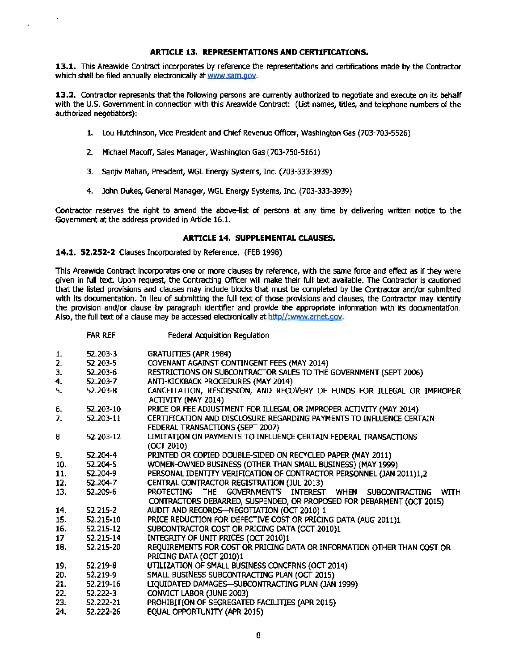#### **ARTICLE 13. REPRESENTATIONS AND CERTIFICATIONS.**

**13.1.** This Areawide Contract incorporates by reference the representations and certifications made by the Contractor which shall be filed annually electronically at www.sam.gov.

**13.2.** Contractor represents that the following persons are currently authorized to negotiate and execute on its behalf with the U.S. Government in connection with this Areawide Contract: (List names, titles, and telephone numbers of the authorized negotiators):

- 1. Lou Hutchinson, Vice President and Chief Revenue Officer, Washington Gas (703-703-5526)
- 2. Michael Macoff, Sales Manager, Washington Gas (703-750-5161)
- 3. Sanjiv Mahan, President, WGL Energy Systems, Inc. (703-333-3939)
- 4. John Dukes, General Manager, WGL Energy Systems, Inc. (703-333-3939)

Contractor reserves the right to amend the above-list of persons at any time by delivering written notice to the Government at the address provided in Artide 16.1.

#### **ARTICLE 14. SUPPLEMENTAL CLAUSES.**

**14.1. 52.252·2** Clauses Incorporated by Reference. (FEB 1998)

This Areawide Contract incorporates one or more clauses by reference, with the same force and effect as if they were given in full text. Upon request, the Contracting Officer will make their full text available. The Contractor is cautioned that the listed provisions and clauses may include blocks that must be completed by the Contractor and/or submitted with its documentation. In lieu of submitting the full text of those provisions and clauses, the Contractor may identify the provision and/or clause by paragraph identifier and provide the appropriate information with its documentation. Also, the full text of a clause may be accessed electronically at http//:www.arnet.oov.

|     | FAR REF       | Federal Acquisition Regulation                                                                 |
|-----|---------------|------------------------------------------------------------------------------------------------|
| 1.  | $52,203-3$    | <b>GRATUITIES (APR 1984)</b>                                                                   |
| 2.  | 52.203-5      | COVENANT AGAINST CONTINGENT FEES (MAY 2014)                                                    |
| з.  | 52.203-6      | RESTRICTIONS ON SUBCONTRACTOR SALES TO THE GOVERNMENT (SEPT 2006)                              |
| 4.  | 52.203-7      | ANTI-KICKBACK PROCEDURES (MAY 2014)                                                            |
| 5.  | 52.203-8      | CANCELLATION, RESCISSION, AND RECOVERY OF FUNDS FOR ILLEGAL OR IMPROPER<br>ACTIVITY (MAY 2014) |
| 6.  | 52.203-10     | PRICE OR FEE ADJUSTMENT FOR ILLEGAL OR IMPROPER ACTIVITY (MAY 2014)                            |
| 7.  | 52.203-11     | CERTIFICATION AND DISCLOSURE REGARDING PAYMENTS TO INFLUENCE CERTAIN                           |
|     |               | FEDERAL TRANSACTIONS (SEPT 2007)                                                               |
| 8   | 52.203-12     | LIMITATION ON PAYMENTS TO INFLUENCE CERTAIN FEDERAL TRANSACTIONS                               |
|     |               | (OCT 2010)                                                                                     |
| 9.  | 52.204-4      | PRINTED OR COPIED DOUBLE-SIDED ON RECYCLED PAPER (MAY 2011)                                    |
| 10. | 52.204-5      | WOMEN-OWNED BUSINESS (OTHER THAN SMALL BUSINESS) (MAY 1999).                                   |
| 11. | 52.204-9      | PERSONAL IDENTITY VERIFICATION OF CONTRACTOR PERSONNEL (JAN 2011)1,2                           |
| 12. | 52.204-7      | CENTRAL CONTRACTOR REGISTRATION (JUL 2013)                                                     |
| 13. | 52.209-6      | <b>PROTECTING</b><br>THE GOVERNMENT'S INTEREST WHEN<br><b>WITH</b><br><b>SUBCONTRACTING</b>    |
|     |               | CONTRACTORS DEBARRED, SUSPENDED, OR PROPOSED FOR DEBARMENT (OCT 2015)                          |
| 14. | 52.215-2      | AUDIT AND RECORDS-NEGOTIATION (OCT 2010) 1                                                     |
| 15. | 52.215-10     | PRICE REDUCTION FOR DEFECTIVE COST OR PRICING DATA (AUG 2011)1                                 |
| 16. | 52.215-12     | SUBCONTRACTOR COST OR PRICING DATA (OCT 2010)1                                                 |
| 17  | 52.215-14     | INTEGRITY OF UNIT PRICES (OCT 2010)1                                                           |
| 18. | 52.215-20     | REQUIREMENTS FOR COST OR PRICING DATA OR INFORMATION OTHER THAN COST OR                        |
|     |               | PRICING DATA (OCT 2010)1                                                                       |
| 19. | 52.219-8      | UTILIZATION OF SMALL BUSINESS CONCERNS (OCT 2014)                                              |
| 20. | 52.219-9      | SMALL BUSINESS SUBCONTRACTING PLAN (OCT 2015)                                                  |
| 21. | 52.219-16     | LIQUIDATED DAMAGES-SUBCONTRACTING PLAN (JAN 1999)                                              |
| 22. | $52.222 - 3$  | CONVICT LABOR (JUNE 2003)                                                                      |
| 23. | $52.222 - 21$ | PROHIBITION OF SEGREGATED FACILITIES (APR 2015)                                                |
| 24. | 52.222-26     | EQUAL OPPORTUNITY (APR 2015)                                                                   |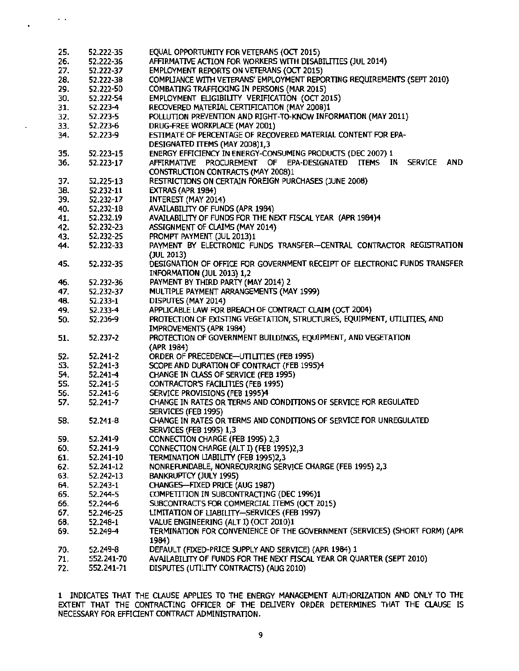| 25. | 52.222-35    | EQUAL OPPORTUNITY FOR VETERANS (OCT 2015)                                    |
|-----|--------------|------------------------------------------------------------------------------|
| 26. | 52.222-36    | AFFIRMATIVE ACTION FOR WORKERS WITH DISABILITIES (JUL 2014)                  |
| 27. | 52.222-37    | EMPLOYMENT REPORTS ON VETERANS (OCT 2015)                                    |
| 28. | 52.222-38    | COMPLIANCE WITH VETERANS' EMPLOYMENT REPORTING REQUIREMENTS (SEPT 2010)      |
| 29. | 52,222-50    | COMBATING TRAFFICKING IN PERSONS (MAR 2015)                                  |
| 30. | 52.222-54    | EMPLOYMENT ELIGIBILITY VERIFICATION (OCT 2015)                               |
| 31. | 52.223-4     | RECOVERED MATERIAL CERTIFICATION (MAY 2008)1                                 |
|     |              |                                                                              |
| 32. | 52.223-5     | POLLUTION PREVENTION AND RIGHT-TO-KNOW INFORMATION (MAY 2011)                |
| 33. | 52.223-6     | DRUG-FREE WORKPLACE (MAY 2001)                                               |
| 34. | 52.223-9     | ESTIMATE OF PERCENTAGE OF RECOVERED MATERIAL CONTENT FOR EPA-                |
|     |              | DESIGNATED ITEMS (MAY 2008)1,3                                               |
| 35. | 52.223-15    | ENERGY EFFICIENCY IN ENERGY-CONSUMING PRODUCTS (DEC 2007) 1                  |
| 36. | 52.223-17    | AFFIRMATIVE PROCUREMENT OF EPA-DESIGNATED ITEMS IN<br><b>SERVICE</b><br>AND. |
|     |              | CONSTRUCTION CONTRACTS (MAY 2008)1                                           |
| 37. | 52,225-13    | RESTRICTIONS ON CERTAIN FOREIGN PURCHASES (JUNE 2008)                        |
| 38. | 52.232-11    | EXTRAS (APR 1984)                                                            |
| 39. | 52.232-17    | <b>INTEREST (MAY 2014)</b>                                                   |
| 40. | 52.232-18    | AVAILABILITY OF FUNDS (APR 1984)                                             |
|     |              | AVAILABILITY OF FUNDS FOR THE NEXT FISCAL YEAR (APR 1984)4                   |
| 41. | 52.232.19    |                                                                              |
| 42. | 52.232-23    | ASSIGNMENT OF CLAIMS (MAY 2014)                                              |
| 43. | 52,232-25    | PROMPT PAYMENT (JUL 2013)1                                                   |
| 44. | 52.232-33    | PAYMENT BY ELECTRONIC FUNDS TRANSFER-CENTRAL CONTRACTOR REGISTRATION         |
|     |              | (JUL 2013)                                                                   |
| 45. | 52.232-35    | DESIGNATION OF OFFICE FOR GOVERNMENT RECEIPT OF ELECTRONIC FUNDS TRANSFER    |
|     |              | INFORMATION (JUL 2013) 1,2                                                   |
| 46. | 52.232-36    | PAYMENT BY THIRD PARTY (MAY 2014) 2                                          |
| 47. | 52.232-37    | MULTIPLE PAYMENT ARRANGEMENTS (MAY 1999)                                     |
| 48. | 52.233-1     | DISPUTES (MAY 2014)                                                          |
| 49. | 52.233-4     | APPLICABLE LAW FOR BREACH OF CONTRACT CLAIM (OCT 2004)                       |
|     |              | PROTECTION OF EXISTING VEGETATION, STRUCTURES, EQUIPMENT, UTILITIES, AND     |
| 50. | 52.236-9     |                                                                              |
|     |              | IMPROVEMENTS (APR 1984)                                                      |
| 51. | 52.237-2     | PROTECTION OF GOVERNMENT BUILDINGS, EQUIPMENT, AND VEGETATION                |
|     |              | (APR 1984)                                                                   |
| 52. | 52.241-2     | ORDER OF PRECEDENCE-UTILITIES (FEB 1995)                                     |
| 53. | 52.241-3     | SCOPE AND DURATION OF CONTRACT (FEB 1995)4                                   |
| 54. | $52.241 - 4$ | CHANGE IN CLASS OF SERVICE (FEB 1995)                                        |
| 55. | $52.241 - 5$ | CONTRACTOR'S FACILITIES (FEB 1995)                                           |
| 56. | 52.241-6     | SERVICE PROVISIONS (FEB 1995)4                                               |
| 57. | 52.241-7     | CHANGE IN RATES OR TERMS AND CONDITIONS OF SERVICE FOR REGULATED             |
|     |              | SERVICES (FEB 1995)                                                          |
| 58. | 52.241-8     | CHANGE IN RATES OR TERMS AND CONDITIONS OF SERVICE FOR UNREGULATED           |
|     |              | <b>SERVICES (FEB 1995) 1,3</b>                                               |
|     | 52.241-9     | CONNECTION CHARGE (FEB 1995) 2,3                                             |
| 59. |              |                                                                              |
| 60. | 52.241-9     | CONNECTION CHARGE (ALT I) (FEB 1995)2,3                                      |
| 61. | 52.241-10    | TERMINATION LIABILITY (FEB 1995)2,3                                          |
| 62. | 52.241-12    | NONREFUNDABLE, NONRECURRING SERVICE CHARGE (FEB 1995) 2,3                    |
| 63. | 52.242-13    | BANKRUPTCY (JULY 1995)                                                       |
| 64. | 52.243-1     | CHANGES-FIXED PRICE (AUG 1987)                                               |
| 65. | 52.244-5     | COMPETITION IN SUBCONTRACTING (DEC 1996)1                                    |
| 66. | 52.244-6     | SUBCONTRACTS FOR COMMERCIAL ITEMS (OCT 2015)                                 |
| 67. | 52.246-25    | LIMITATION OF LIABILITY-SERVICES (FEB 1997)                                  |
| 68. | 52.248-1     | VALUE ENGINEERING (ALT I) (OCT 2010)1                                        |
| 69. | 52.249-4     | TERMINATION FOR CONVENIENCE OF THE GOVERNMENT (SERVICES) (SHORT FORM) (APR   |
|     |              | 1984)                                                                        |
|     |              |                                                                              |
| 70. | 52.249-8     | DEFAULT (FIXED-PRICE SUPPLY AND SERVICE) (APR 1984) 1                        |
| 71. | 552.241-70   | AVAILABILITY OF FUNDS FOR THE NEXT FISCAL YEAR OR QUARTER (SEPT 2010)        |
| 72. | 552.241-71   | DISPUTES (UTILITY CONTRACTS) (AUG 2010)                                      |

 $\ddot{\phantom{0}}$  .

 $\ddot{\phantom{0}}$ 

1 INDICATES THAT THE CLAUSE APPLIES TO THE ENERGY MANAGEMENT AUTHORIZATION AND ONLY TO THE EXTENT THAT THE CONTRACTING OFFICER OF THE DELIVERY ORDER DETERMINES THAT THE CLAUSE IS NECESSARY FOR EFFICTENT CONTRACT ADMINISTRATION.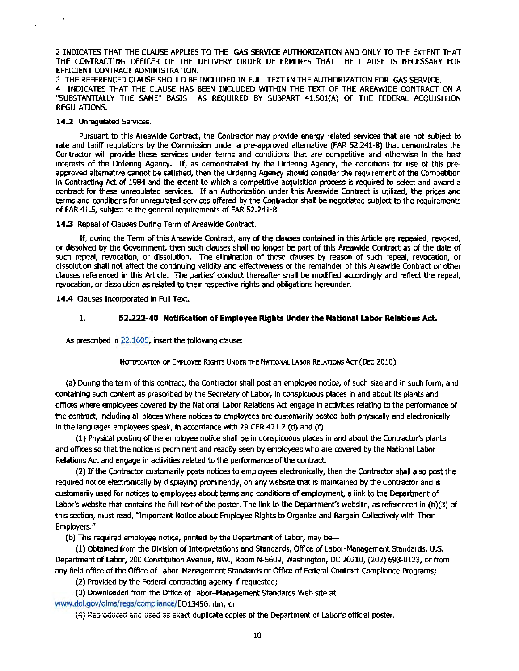2 INDICATES THAT THE CLAUSE APPLIES TO THE GAS SERVICE AUTHORIZATION AND ONLY TO THE EXTENT THAT THE CONTRACTING OFFICER OF THE DELIVERY ORDER DETERMINES THAT THE CLAUSE IS NECESSARY FOR EFFIOENT CONTRACT ADMINISTRATION.

3 THE REFERENCED CLAUSE SHOULD BE INCLUDED IN FULL TEXT IN THE AUTHORIZATION FOR GAS SERVICE. 4 INDICATES THAT THE CLAUSE HAS BEEN INCLUDED WITHIN THE TEXT OF THE AREAWIDE CONTRACT ON A "SUBSTANTIALLY THE SAME" BASIS AS REQUIRED BY SUBPART 41.501(A) OF THE FEDERAL ACQUISffiON REGULATIONS.

#### 14.2 Unregulated Services.

Pursuant to this Areawide Contract, the Contractor may provide energy related services that are not subject to rate and tariff regulations by the Commission under a pre-approved alternative (FAR 52.241-8) that demonstrates the Contractor will provide these services under terms and conditions that are competitive and otherwise in the best interests of the Ordering Agency. If, as demonstrated by the Ordering Agency, the conditions for use of this preapproved alternative cannot be satisfied, then the Ordering Agency should consider the requirement of the Competition in Contracting Act of 1984 and the extent to which a competitive acquisition process is required to select and award a contract for these unregulated services. If an Authorization under this Areawide Contract is utilized, the prices and terms and conditions for unregulated services offered by the Contractor shall be negotiated subject to the requirements of FAR 41.5, subject to the general requirements of FAR 52.241-8. ·

14.3 Repeal of Clauses During Term of Areawide Contract.

If, during the Term of this Areawide Contract, any of the clauses contained in this Article are repealed, revoked, or dissolved by the Government, then such clauses shall no longer be part of this Areawide Contract as of the date of such repeal, revocation, or dissolution. The elimination of these clauses by reason of such repeal, revocation, or dissolution shall not affect the continuing validity and effectiveness of the remainder of this Areawide Contract or other clauses referenced in this Article. The parties' conduct thereafter shall be modified accordingly and reflect the repeal, revocation, or dissolution as related to their respective rights and obligations hereunder.

14.4 Clauses Incorporated in Full Text.

#### 1. 52.222-40 Notification of Employee Rights Under the National Labor Relations Act.

As prescribed in 22.1605, insert the following clause:

#### NOTIFICATION OF EMPLOYEE RIGHTS UNDER THE NATIONAL LABOR RELATIONS ACT (DEC 2010)

(a) During the term of this contract, the Contractor shall post an employee notice, of such size and in such form, and containing such content as prescribed by the Secretary of Labor, in conspicuous places in and about its plants and offices where employees covered by the National Labor Relations Act engage in activities relating to the performance of the contract, including all places where notices to employees are customarily posted both physically and electronically, in the languages employees speak, in accordance with 29 CFR 471.2 (d) and (f).

(1) Physical posting ofthe employee notice shall be in conspicuous places in and about the Contractor's plants and offices so that the notice is prominent and readily seen by employees who are covered by the National Labor Relations Act and engage in activities related to the performance of the contract.

(2) Ifthe Contractor customarily posts notices to employees electronically, then the Contractor shall also post the required notice electronically by displaying prominently, on any website that is maintained by the Contractor and is customarily used for notices to employees about terms and conditions of employment, a link to the Department of Labor's website that contains the full text of the poster. The link to the Department's website, as referenced in (b)(3) of this section, must read, "Important Notice about Employee Rights to Organize and Bargain Collectively with Their Employers."

(b) This required employee notice, printed by the Department of Labor, may be

(1) Obtained from the Division of Interpretations and Standards, Office of Labor-Management Standards, U.S. Department of Labor, 200 Constitution Avenue, NW., Room N-5609, Washington, DC 20210, (202) 693-0123, or from any field office of the Office of Labor-Management Standards or Office of Federal Contract Compliance Programs;

(2) Provided by the Federal contracting agency if requested;

(3) Downloaded from the Office of Labor-Management Standards Web site at

www.dol.gov/olms/regs/compliance/E013496.htm; or

(4) Reproduced and used as exact duplicate copies of the Department of Labor's official poster.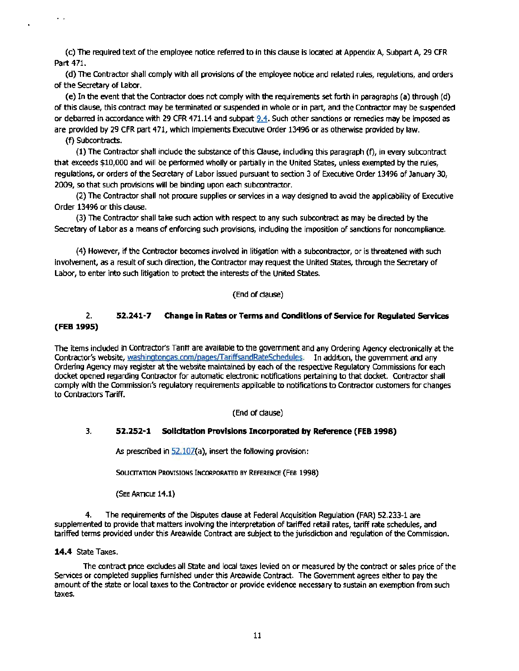(c) The required text of the employee notice referred to in this clause is located at Appendix A, Subpart A, 29 CFR Part 471.

(d) The Contractor shall comply with all provisions of the employee notice and related rules, regulations, and orders of the Secretary of Labor.

(e) In the event that the Contractor does not comply with the requirements set forth In paragraphs (a) through ( d) of this clause, this contract may be terminated or suspended in whole or in part, and the Contractor may be suspended or debarred in accordance with 29 CFR 471.14 and subpart 9.4. Such other sanctions or remedies may be imposed as are provided by 29 CFR part 471, which implements Executive Order 13496 or as otherwise provided by law.

(f) Subcontracts.

 $\ddotsc$ 

(1) The Contractor shall include the substance of this Cause, Including this paragraph (f), in every subcontract that exceeds \$10,000 and will be performed wholly or partially in the United States, unless exempted by the rules, regulations, or orders of the Secretary of Labor issued pursuant to section 3 of Executive Order 13496 of January 30, 2009, so that such provisions will be binding upon each subcontractor.

(2) The Contractor shall not procure supplies or services in a way designed to avoid the applicability of Executive Order 13496 or this dause.

(3) The Contractor shall take such action with respect to any such subcontract as may be directed by the Secretary *of*Labor as a means *of*enforcing such provisions, indudlng the imposition of sanctions for noncompliance.

(4) However, if the Contractor becomes involved in litigation with a subcontractor, or is threatened with such involvement, as a result of such direction, the Contractor may request the United States, through the Secretary of Labor, to enter into such litigation to protect the interests of the United States.

#### (End of dause)

#### 2. 52.241-7 Change in Rates or Terms and Conditions of Service for Regulated Services (FEB 1995)

The items included in Contractor's Tariff are available to the government and any Ordering Agency electronically at the Contractor's website, washingtongas.com/pagesfiariffsandRateSchedules. In addition, the government and any Ordering Agency may register at the website maintained by each of the respective Regulatory Commissions for each docket opened regarding Contractor for automatic electronic notifications pertaining to that docket. Contractor shall comply with the Commission's regulatory requirements applicable to notifications to Contractor customers for changes to Contractors Tariff.

#### (End of dause)

#### 3. 52.252-1 Solicitation Provisions Incorporated by Reference (FEB 1998)

As prescribed in 52.107(a), insert the following provision:

SOLICITATION PROVISIONS INCORPORATED BY REFERENCE (FEB 1998)

(SEE ARTICLE 14.1)

4. The requirements *of* the Disputes dause at Federal Acquisition Regulation (FAR) 52.233-1 are supplemented to provide that matters involving the interpretation of tariffed retail rates, tariff rate schedules, and tariffed terms provided under this Areawide Contract are subject to the jurisdiction and regulation ofthe Commission.

#### 14.4 State Taxes.

The contract price excludes all State and local taxes levied on or measured by the contract or sales price of the Services or completed supplies furnished under this Areawide Contract. The Government agrees either to pay the amount of the state or local taxes to the Contractor or provide evidence necessary to sustain an exemption from such taxes.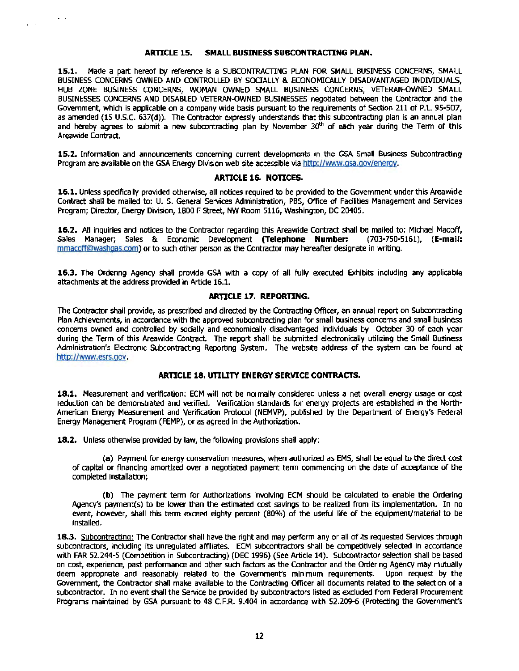#### **ARTICLE 15. SMALL BUSINESS SUBCONTRACTING PLAN.**

 $\mathbf{v} \in \mathbb{R}^d$ 

**15.1.** Made a part hereof by reference is a SUBCONTRACT1NG PLAN FOR SMALL BUSINESS CONCERNS, SMALL BUSINESS CONCERNS OWNED AND CONTROLLED BY SOCIALLY & ECONOMICALLY DISADVANTAGED INDMDUALS, HUB ZONE BUSINESS CONCERNS, WOMAN OWNED SMALL BUSINESS CONCERNS, VITERAN-OWNED SMALL BUSINESSES CONCERNS AND DISABLED VETERAN-OWNED BUSINESSES negotiated between the Contractor and the Government, which is applicable on a company wide basis pursuant to the requirements of Section 211 of P.L. 95-507, as amended (15 U.S.C. 637(d)). The Contractor expressly understands that this subcontracting plan is an annual plan and hereby agrees to submit a new subcontracting plan by November  $30<sup>th</sup>$  of each year during the Term of this Areawide Contract.

**15.2.** Information and announcements concerning current developments in the GSA Small Business Subcontracting Program are available on the GSA Energy Division web site accessible via http://www.gsa.gov/energy.

#### **ARTICLE 16. NOTICES.**

**16.1.** Unless specifically provided otherwise, all notices required to be provided to the Government under this Areawide Contract shall be mailed to: U. S. General Services Administration, PBS, Office of Facilities Management and Services Program; Director, Energy Division, 1800 F Street, NW Room 5116, Washington, DC 20405.

**16.2.** All inquiries and notices to the Contractor regarding this Areawide Contract shall be mailed to: Michael Macoff, Sales Manager; Sales & Economic Development **(Telephone Number:** mmacoff@washgas.com) or to such other person as the Contractor may hereafter designate in writing.

**16.3.** The Ordering Agency shall provide GSA with a copy of all fully executed Exhibits including any applicable attachments at the address provided in Artide 16.1.

#### **ARTICLE 17. REPORTING.**

The Contractor shall provide, as prescribed and directed by the Contracting Officer, an annual report on Subcontracting Plan Achievements, in accordance with the approved subcontracting plan for small business concerns and small business concerns owned and controlled by socially and economically disadvantaged individuals by October 30 of each year during the Term of this Areawide Contract. The report shall be submitted electronically utilizing the Small Business Administration's Electronic Subcontracting Reporting System. The website address of the system can be found at http://www.esrs.gov.

#### **ARTICLE 18. UTILITY ENERGY SERVICE CONTRACTS.**

**18.1.** Measurement and verification: ECM will not be normally considered unless a net overall energy usage or cost reduction can be demonstrated and verified. Verification standards for energy projects are established in the North-American Energy Measurement and Verification Protocol (NEMVP), published by the Department of Energy's Federal Energy Management Program (FEMP), or as agreed in the Authorization.

**18.2.** Unless otherwise provided by law, the following provisions shall apply:

(a) Payment for energy conservation measures, when authorized as EMS, shall be equal to the direct cost of capital or financing amortized over a negotiated payment term commencing on the date of acceptance of the completed installation;

**(b)** The payment term for Authorizations involving ECM should be calculated to enable the Ordering Agency's payment(s) to be lower than the estimated cost savings to be realized from its implementation. In no event, however, shall this term exceed eighty percent (80%) of the useful life of the equipment/material to be installed.

**18.3.** Subcontracting: The Contractor shall have the right and may perform any or all of its requested Services through subcontractors, including its unregulated affiliates. ECM subcontractors shall be competitively selected in accordance with FAR 52.244-5 (Competition in Subcontracting) (DEC 1996) (See Article 14). Subcontractor selection shall be based on cost, experience, past performance and other such factors as the Contractor and the Ordering Agency may mutually deem appropriate and reasonably related to the Government's minimum requirements. Upon request by the Government, the Contractor shall make available to the Contracting Officer all documents related to the selection of a subcontractor. In no event shall the Service be provided by subcontractors listed as excluded from Federal Procurement Programs maintained by GSA pursuant to 48 C.F.R. 9.404 in accordance with 52.209-6 (Protecting the Government's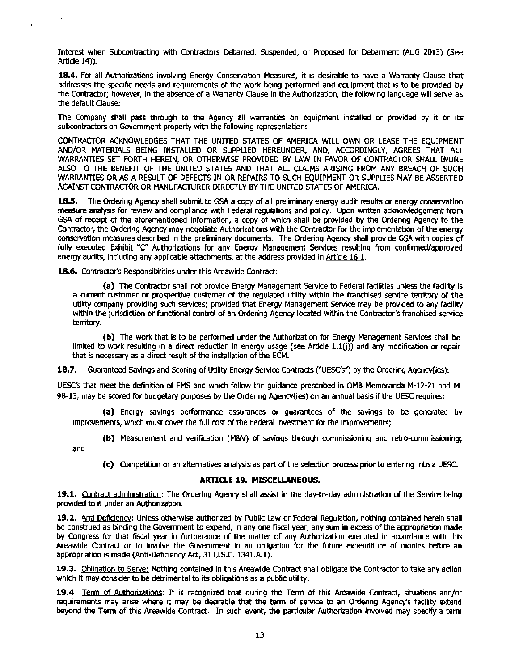Interest when Subcontracting with Contractors Debarred, Suspended, or Proposed for Debarment (AUG 2013) (See Artide 14)).

18.4. For all Authorizations involving Energy Conservation Measures, it is desirable to have a Warranty Clause that addresses the specific needs and requirements of the work being performed and equipment that is to be provided by the Contractor; however, in the absence of a Warranty Clause in the Authorization, the following language will serve as the default Clause:

The Company shall pass through to the Agency all warranties on equipment installed or provided by it or its subcontractors on Government property with the following representation:

CONTRACTOR ACKNOWLEDGES THAT THE UNITED STATES OF AMERICA WILL OWN OR LEASE THE EQUIPMENT AND/OR MATERIALS BBNG INSTALLED OR SUPPUED HEREUNDER, AND, ACCORDINGLY, AGREES THAT All WARRANTIES SET FORTH HEREIN, OR OTHERWISE PROVIDED BY LAW IN FAVOR OF CONTRACTOR SHALL INURE ALSO TO THE BENEFIT OF THE UNITED STATES AND THAT All CLAIMS ARISING FROM ANY BREACH OF SUCH WARRANTIES OR AS A RESULT OF DEFECTS IN OR REPAIRS TO SUCH EQUIPMENT OR SUPPUES MAY BE ASSERTED AGAINST CONTRACTOR OR MANUFACTURER DIRECTLY BY THE UNITED STATES OF AMERICA.

18.5. The Ordering Agency shall submit to GSA a copy of all preliminary energy audit results or energy conservation measure analysis for review and compliance with Federal regulations and policy. Upon written acknowledgement from GSA of receipt of the aforementioned information, a copy of which shall be provided by the Ordering Agency to the Contractor, the Ordering Agency may negotiate Authorizations with the Contractor for the implementation of the energy conservation measures described in the preliminary documents. The Ordering Agency shall provide GSA with copies of fully executed Exhibit "C" Authorizations for any Energy Management Services resulting from confirmed/approved energy audits, including any applicable attachments, at the address provided in Article 16.1.

18.6. Contractor's Responsibilities under this Areawide Contract:

(a) The Contractor shall not provide Energy Management Service to Federal facilities unless the facility is a current customer or prospective customer of the regulated utility within the franchised service tenitory of the utility company providing such services; provided that Energy Management Service may be provided to any facility within the jurisdiction or functional control of an Ordering Agency located within the Contractor's franchised service territory.

(b) The work that is to be performed under the Authorization for Energy Management Services shall be limited to work resulting in a direct reduction in energy usage (see Article 1.l(j)) and any modification or repair that is necessary as a direct result of the installation of the ECM.

18.7. Guaranteed Savings and Scoring of Utility Energy Service Contracts ("UESC's") by the Ordering Agency(ies):

UESC's that meet the definition of EMS and which follow the guidance prescribed in OMB Memoranda M-12-21 and M-98-13, may be scored for budgetary purposes by the Ordering Agency(ies) on an annual basis if the UESC requires:

(a) Energy savings performance assurances or guarantees of the savings to be generated by improvements, which must cover the full cost of the Federal investment for the improvements;

(b) Measurement and verification {M&V) of savings through commissioning and retro-commissioning;

and

(c) Competition or an alternatives analysis as part of the selection process prior to entering into a UESC.

#### **ARTICLE 19. MISCELLANEOUS.**

19.1. Contract administration: The Ordering Agency shall assist in the day-to-day administration of the Service being provided to it under an Authorization.

19.2. Anti-Deficiency: Unless otherwise authorized by Public Law or Federal Regulation, nothing contained herein shall be construed as binding the Government to expend, in any one fiscal year, any sum in excess of the appropriation made by Congress for that fiscal year in furtherance of the matter of any Authorization executed in accordance with this Areawide Contract or to involve the Government in an obligation for the future expenditure of monies before an appropriation is made (Anti-Deficiency Act, 31 U.S.C. 1341.A.1).

19.3. Obligation to Serve: Nothing contained in this Areawide Contract shall obligate the Contractor to take any action which it may consider to be detrimental to its obligations as a public utility.

19.4 Term of Authorizations: It is recognized that during the Term of this Areawide Contract, situations and/or requirements may arise where it may be desirable that the term of service to an Ordering Agency's facility extend beyond the Term of this Areawide Contract. In such event, the particular Authorization involved may specify a term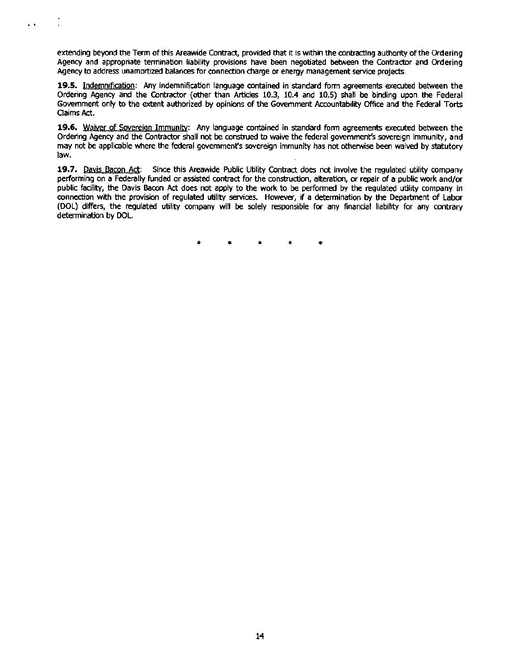extending beyond the Term of this Areawide Contract, provided that it is within the contracting authority of the Ordering Agency and appropriate termination liability provisions have been negotiated between the Contractor and Ordering Agency to address unamortized balances for connection charge or energy management service projects.

. .

**19.5.** Indemnification: Any indemnification language contained in standard form agreements executed between the Ordering Agency and the Contractor (other than Articles 10.3, 10.4 and 10.5) shall be binding upon the Federal Government only to the extent authorized by opinions of the Government Accountability Office and the Federal Torts OaimsAct.

**19.6.** Waiver of Sovereign Immunity: Any language contained in standard form agreements executed between the Ordering Agency and the Contractor shall not be construed to waive the federal government's sovereign immunity, and may not be applicable where the federal government's sovereign immunity has not otherwise been waived by statutory law.

**19.7.** Davis Bacon Act: Since this Areawide Public Utility Contract does not involve the regulated utility company performing on a Federally funded or assisted contract for the construction, alteration, or repair of a public work and/or public facility, the Davis Bacon Act does not apply to the work to be performed by the regulated utility company in connection with the provision of regulated utility services. However, if a determination by the Department of Labor (OOL) differs, the regulated utility company will be solely responsible for any financial liability for any contrary determination by DOL.

\* \* \* \* \*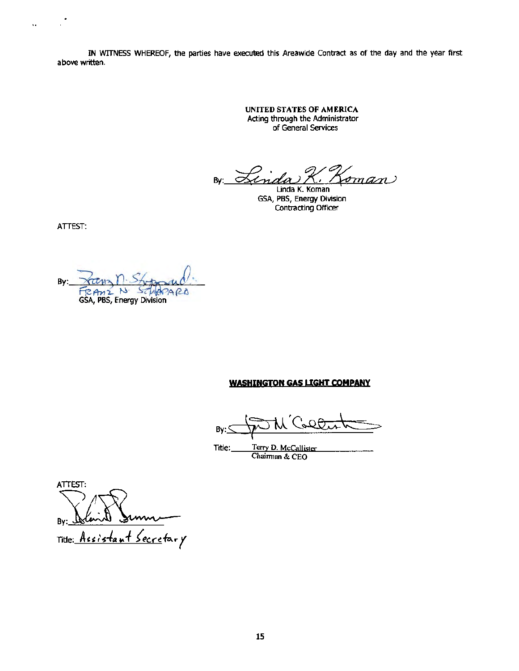IN WITNESS WHEREOF, the parties have executed this Areawide Contract as of the day and the year first above written.

> UNITED STATES OF AMERICA Acting through the Administrator of General Services

By: <u>Finda K. Koman</u>

GSA, PBS, Energy Division Contracting Officer

ATTEST:

 $\bar{\Omega}$ 

Bv: FRAME N SCHLAP SCHAPARD

#### WASHINGTON GAS LIGHT COMPANY

By:

 $\text{trig.} \quad \text{Trry D. McCallister}$ <br>Title: Terry D. McCallister

ATIEST: By: istant Secretary Title: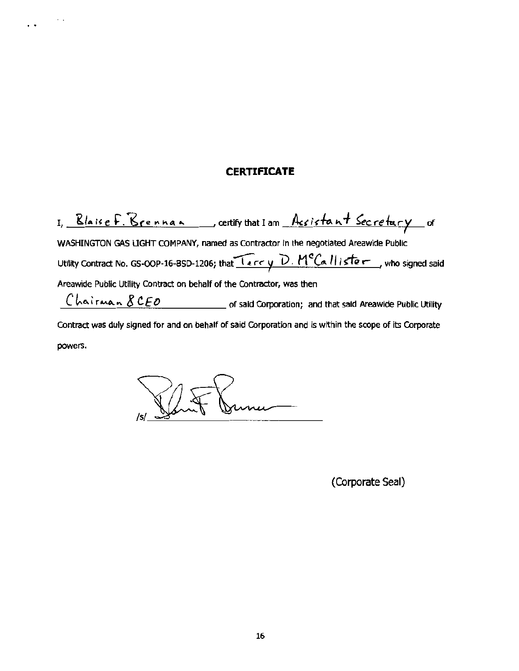### **CERTIFICATE**

I, Blaise F. Brennan, certifythat I am Acsistant Secretury of WASHINGTON GAS LIGHT COMPANY, named as Contractor in the negotiated Areawide Public Utility Contract No. GS-OOP-16-BSD-1206; that  $T_{error}$  *V · M<sup>o</sup>Callister*, who signed said Areawide Public Utility Contract on behalf of the Contractor, was then  $\overline{C}$   $\overline{C}$   $\overline{C}$   $\overline{C}$   $\overline{C}$   $\overline{C}$   $\overline{C}$   $\overline{C}$   $\overline{C}$   $\overline{C}$   $\overline{C}$   $\overline{C}$   $\overline{C}$   $\overline{C}$   $\overline{C}$   $\overline{C}$   $\overline{C}$   $\overline{C}$   $\overline{C}$   $\overline{C}$   $\overline{C}$   $\overline{C}$   $\overline{C}$   $\overline{C}$   $\overline{$ Contract was duly signed for and on behalf of said Corporation and is within the scope of its Corporate

powers.

 $\sim$  .

 $\ddot{\phantom{0}}$ 

mu-

(Corporate Seal)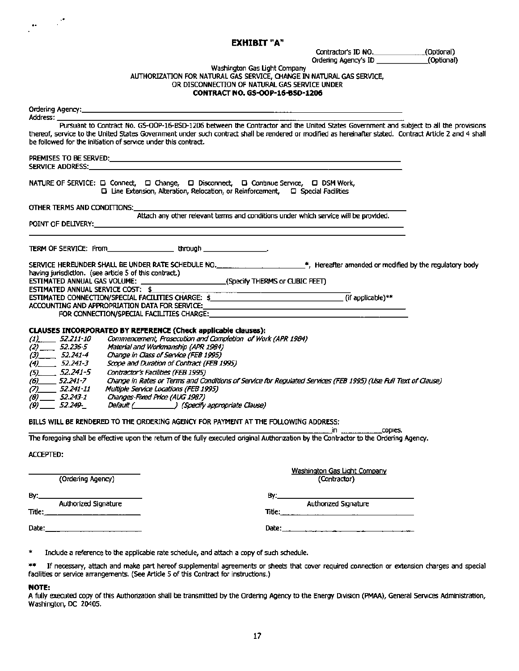#### EXHIBIT "A"

Contractor's ID NO. (Optional) Ordering Agency's ID (Optional)

### Washington Gas Light Company<br>AUTHORIZATION FOR NATURAL GAS SERVICE, CHANGE IN NATURAL GAS SERVICE, OR DISCONNECTION OF NATURAL GAS SERVICE UNDER CONTRACT NO. GS-OOP·16-BS0·1206

| Address: <b>Address</b> :<br>Pursuant to Contract No. GS-OOP-16-BSD-1206 between the Contractor and the United States Government and subject to all the provisions<br>thereof, service to the United States Government under such contract shall be rendered or modified as hereinafter stated. Contract Article 2 and 4 shall<br>be followed for the initiation of service under this contract.                                                                                                                                                                                                                                                                                                                                                                                                                                                                                                                                           |  |  |
|--------------------------------------------------------------------------------------------------------------------------------------------------------------------------------------------------------------------------------------------------------------------------------------------------------------------------------------------------------------------------------------------------------------------------------------------------------------------------------------------------------------------------------------------------------------------------------------------------------------------------------------------------------------------------------------------------------------------------------------------------------------------------------------------------------------------------------------------------------------------------------------------------------------------------------------------|--|--|
| <b>SERVICE ADDRESS: Example 2008</b>                                                                                                                                                                                                                                                                                                                                                                                                                                                                                                                                                                                                                                                                                                                                                                                                                                                                                                       |  |  |
| NATURE OF SERVICE: □ Connect, □ Change, □ Disconnect, □ Continue Service, □ DSM Work,<br>□ Line Extension, Alteration, Relocation, or Reinforcement, □ Special Facilities                                                                                                                                                                                                                                                                                                                                                                                                                                                                                                                                                                                                                                                                                                                                                                  |  |  |
| OTHER TERMS AND CONDITIONS:                                                                                                                                                                                                                                                                                                                                                                                                                                                                                                                                                                                                                                                                                                                                                                                                                                                                                                                |  |  |
| Attach any other relevant terms and conditions under which service will be provided.<br><b>POINT OF DELIVERY:</b> The contract of the contract of the contract of the contract of the contract of the contract of the contract of the contract of the contract of the contract of the contract of the contract of the contr                                                                                                                                                                                                                                                                                                                                                                                                                                                                                                                                                                                                                |  |  |
| TERM OF SERVICE: From the contract of the brough through the contract of the contract of the contract of the contract of the contract of the contract of the contract of the contract of the contract of the contract of the c                                                                                                                                                                                                                                                                                                                                                                                                                                                                                                                                                                                                                                                                                                             |  |  |
| SERVICE HEREUNDER SHALL BE UNDER RATE SCHEDULE NO. ______________________*, Hereafter amended or modified by the regulatory body<br>having jurisdiction. (see article 5 of this contract.)                                                                                                                                                                                                                                                                                                                                                                                                                                                                                                                                                                                                                                                                                                                                                 |  |  |
| ESTIMATED ANNUAL GAS VOLUME: __________________________(Specify THERMS or CUBIC FEET)<br>ESTIMATED ANNUAL SERVICE COST: \$                                                                                                                                                                                                                                                                                                                                                                                                                                                                                                                                                                                                                                                                                                                                                                                                                 |  |  |
|                                                                                                                                                                                                                                                                                                                                                                                                                                                                                                                                                                                                                                                                                                                                                                                                                                                                                                                                            |  |  |
| ACCOUNTING AND APPROPRIATION DATA FOR SERVICE: __________________________________                                                                                                                                                                                                                                                                                                                                                                                                                                                                                                                                                                                                                                                                                                                                                                                                                                                          |  |  |
| FOR CONNECTION/SPECIAL FACILITIES CHARGE:                                                                                                                                                                                                                                                                                                                                                                                                                                                                                                                                                                                                                                                                                                                                                                                                                                                                                                  |  |  |
| CLAUSES INCORPORATED BY REFERENCE (Check applicable clauses):<br>Commencement, Prosecution and Completion of Work (APR 1984)<br>$(1)$ 52.211-10<br>$(2)$ 52.236-5<br>Material and Workmanship (APR 1984)<br>$(3)$ 52.241-4<br>Change in Class of Service (FEB 1995)<br>$(4)$ 52.241-3<br>Scope and Duration of Contract (FEB 1995)<br>$(5)$ 52.241-5<br>Contractor's Facilities (FEB 1995)<br>Change in Rates or Terms and Conditions of Service for Regulated Services (FEB 1995) (Use Full Text of Clause)<br>$(6)$ 52.241-7<br>$(7)$ 52.241-11<br>Multiple Service Locations (FEB 1995)<br>Changes-Fixed Price (AUG 1987)<br>$(8)$ 52.243-1<br>Default ( Specify appropriate Clause)<br>$(9)$ 52.249-<br>BILLS WILL BE RENDERED TO THE ORDERING AGENCY FOR PAYMENT AT THE FOLLOWING ADDRESS:<br>The foregoing shall be effective upon the return of the fully executed original Authorization by the Contractor to the Ordering Agency. |  |  |
|                                                                                                                                                                                                                                                                                                                                                                                                                                                                                                                                                                                                                                                                                                                                                                                                                                                                                                                                            |  |  |
| <b>ACCEPTED:</b>                                                                                                                                                                                                                                                                                                                                                                                                                                                                                                                                                                                                                                                                                                                                                                                                                                                                                                                           |  |  |
| Washington Gas Light Company<br>(Ordering Agency)<br>(Contractor)                                                                                                                                                                                                                                                                                                                                                                                                                                                                                                                                                                                                                                                                                                                                                                                                                                                                          |  |  |
| By:<br>By:_                                                                                                                                                                                                                                                                                                                                                                                                                                                                                                                                                                                                                                                                                                                                                                                                                                                                                                                                |  |  |
| <b>Authorized Signature</b><br><b>Authorized Signature</b>                                                                                                                                                                                                                                                                                                                                                                                                                                                                                                                                                                                                                                                                                                                                                                                                                                                                                 |  |  |
| Title: $\_$                                                                                                                                                                                                                                                                                                                                                                                                                                                                                                                                                                                                                                                                                                                                                                                                                                                                                                                                |  |  |
| Date:<br>Date: $\frac{1}{2}$                                                                                                                                                                                                                                                                                                                                                                                                                                                                                                                                                                                                                                                                                                                                                                                                                                                                                                               |  |  |
|                                                                                                                                                                                                                                                                                                                                                                                                                                                                                                                                                                                                                                                                                                                                                                                                                                                                                                                                            |  |  |
| *<br>Include a reference to the applicable rate schedule, and attach a copy of such schedule.                                                                                                                                                                                                                                                                                                                                                                                                                                                                                                                                                                                                                                                                                                                                                                                                                                              |  |  |
| 半季<br>If necessary, attach and make part hereof supplemental agreements or sheets that cover required connection or extension charges and special<br>facilities or service arrangements. (See Article 5 of this Contract for instructions.)                                                                                                                                                                                                                                                                                                                                                                                                                                                                                                                                                                                                                                                                                                |  |  |

#### NOTE:

..

 A fully executed copy of this Authorization shall be transmitted by the Ordenng Agency to the Energy Division (PMAA), General Services Administration, Washington, DC 20405.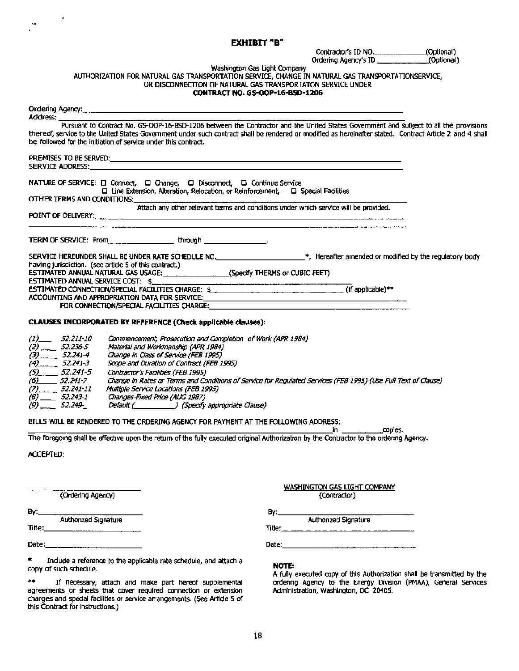#### EXHIBIT "B"

Contractor's ID NO.\_\_\_\_\_\_\_\_\_\_\_\_\_(Optional) Ordering Agency's ID (Optional)

#### Washington Gas Light Company AlmlORIZATION FOR NATURAL GAS TRANSPORTATION SERVICE, CHANGE IN NATURAL GAS TRANSPORTATIONSERVICE,

OR DISCONNECTION OF NATURAL GAS TRANSPORTATON SERVICE UNDER

#### CONTRACT NO. GS-OOP-16-BSD-1206

| Ordering Agency: https://www.com/communications/communications/communications/communications/communications/co                                                                                                             |
|----------------------------------------------------------------------------------------------------------------------------------------------------------------------------------------------------------------------------|
|                                                                                                                                                                                                                            |
| thereof, service to the United States Government under such contract shall be rendered or modified as hereinafter stated. Contract Article 2 and 4 shall<br>be followed for the initiation of service under this contract. |
|                                                                                                                                                                                                                            |
|                                                                                                                                                                                                                            |
| NATURE OF SERVICE: □ Connect, □ Change, □ Disconnect, □ Continue Service<br>$\square$ Line Extension, Alteration, Relocation, or Reinforcement, $\square$ Special Facilities                                               |
| OTHER TERMS AND CONDITIONS:                                                                                                                                                                                                |
| Attach any other relevant terms and conditions under which service will be provided.<br>POINT OF DELIVERY: www.communication.com/windows/windows/windows/windows/windows/windows/windows/windows/                          |
| TERM OF SERVICE: From _________________________ through _______________________.                                                                                                                                           |
| SERVICE HEREUNDER SHALL BE UNDER RATE SCHEDULE NO. ________________________*, Hereafter amended or modified by the regulatory body                                                                                         |
| having jurisdiction. (see article 5 of this contract.)                                                                                                                                                                     |
| ESTIMATED ANNUAL NATURAL GAS USAGE: (Specify THERMS or CUBIC FEET)                                                                                                                                                         |
| ESTIMATED ANNUAL SERVICE COST: \$                                                                                                                                                                                          |
| ESTIMATED CONNECTION/SPECIAL FACILITIES CHARGE: \$                                                                                                                                                                         |
|                                                                                                                                                                                                                            |
|                                                                                                                                                                                                                            |
| CLAUSES INCORPORATED BY REFERENCE (Check applicable clauses):                                                                                                                                                              |
| (1)______ 52.211-10 Commencement, Prosecution and Completion of Work (APR 1984)                                                                                                                                            |
| $(2)$ 52.236-5 Material and Workmanship (APR 1984)                                                                                                                                                                         |
| $(2)$ $(7.34)$ $(1)$ $(2)$ $(2)$ $(3)$ $(4)$ $(5)$ $(6)$ $(7)$ $(8)$ $(8)$ $(7)$ $(8)$ $(9)$ $(1)$                                                                                                                         |

| $(2)$ $-$<br>52.236-5 | Material and Workmanship (APR 1984)                                                                            |
|-----------------------|----------------------------------------------------------------------------------------------------------------|
| (3)<br>52.241-4       | Change in Class of Service (FEB 1995)                                                                          |
| (4)<br>52.241-3       | Scope and Duration of Contract (FEB 1995)                                                                      |
| 52.241-5<br>(5)       | Contractor's Facilities (FEB 1995)                                                                             |
| (6)<br>52.241-7       | Change in Rates or Terms and Conditions of Service for Requiated Services (FEB 1995) (Use Full Text of Clause) |
| (7)<br>52.241-11      | Multiple Service Locations (FEB 1995)                                                                          |
| (8) $-$<br>52.243-1   | Changes-Fixed Price (AUG 1987)                                                                                 |
| 52.249-               | ) (Specify appropriate Clause)<br>Default (_______                                                             |

# BILLS WILL BE RENDERED TO THE ORDERING AGENCY FOR PAYMENT AT THE FOLLOWING ADDRESS: \_\_\_\_\_\_\_\_\_\_\_\_\_\_\_\_\_\_\_\_\_\_\_\_\_\_\_\_\_\_\_,In copies.

The foregoing shall be effective upon the return of the fully executed original Authorization by the Contractor to the ordering Agency.

#### ACCEPTED:

 $\mathbf{a}$ 

(Ordering Agency)

\* Include a reference to the applicable rate schedule, and attach a **NOTE:**<br>copy of such schedule. A fully executed copy of this Authorization shall be transmitted by the<br>\*\* If necessary, attach and make part hereof supple

agreements or sheets that cover required connection or extension and Administration, Washington, DC 20405. charges and special facilities or service arrangements. (See Article 5 of this Contract for instructions.)

# WASHINGTON GAS LIGHT COMPANY<br>(Contractor) By:\_ \_\_\_\_\_\_\_\_ \_ By:\_\_\_\_\_\_\_ \_ \_ \_\_\_ \_

Authorized Signature Authorized Signature Title:\_\_\_\_\_\_\_\_\_\_ Title: \_ \_\_\_\_\_\_ \_ \_\_\_\_<sup>~</sup>

Date:\_\_\_\_\_\_\_\_\_\_ Date:\_\_\_\_\_\_\_\_\_\_\_\_\_

\*\* If necessary, attach and make part hereof supplemental ordering Agency to the Energy Division (PMM), General Services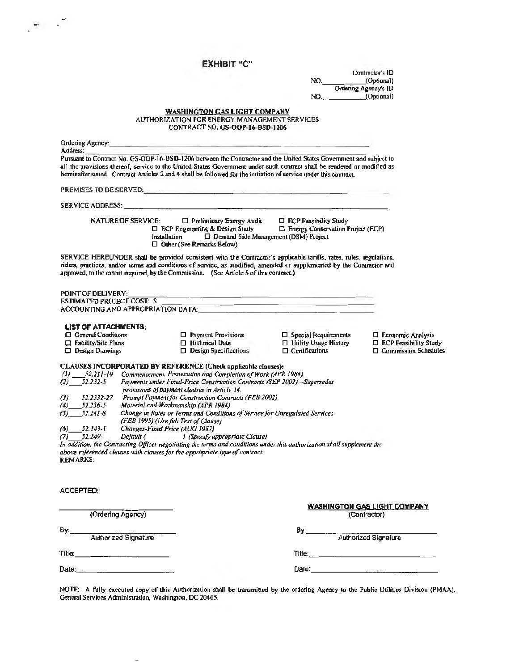### EXHIBIT "C"

...

|                                                                                                                                                                                                                                                                                                                                        | лишн                                                                                                                                                                                                                                         |                                                                                                                        |                                                                                                                |
|----------------------------------------------------------------------------------------------------------------------------------------------------------------------------------------------------------------------------------------------------------------------------------------------------------------------------------------|----------------------------------------------------------------------------------------------------------------------------------------------------------------------------------------------------------------------------------------------|------------------------------------------------------------------------------------------------------------------------|----------------------------------------------------------------------------------------------------------------|
|                                                                                                                                                                                                                                                                                                                                        |                                                                                                                                                                                                                                              |                                                                                                                        | Contractor's <b>ID</b>                                                                                         |
|                                                                                                                                                                                                                                                                                                                                        |                                                                                                                                                                                                                                              | NO.                                                                                                                    | (Optional)<br>Ordering Agency's ID                                                                             |
|                                                                                                                                                                                                                                                                                                                                        |                                                                                                                                                                                                                                              | NO. (Optional)                                                                                                         |                                                                                                                |
|                                                                                                                                                                                                                                                                                                                                        |                                                                                                                                                                                                                                              |                                                                                                                        |                                                                                                                |
|                                                                                                                                                                                                                                                                                                                                        | WASHINGTON GAS LIGHT COMPANY                                                                                                                                                                                                                 |                                                                                                                        |                                                                                                                |
|                                                                                                                                                                                                                                                                                                                                        | <b>AUTHORIZATION FOR ENERGY MANAGEMENT SERVICES</b><br>CONTRACT NO. GS-OOP-16-BSD-1206                                                                                                                                                       |                                                                                                                        |                                                                                                                |
| Ordering Agency:                                                                                                                                                                                                                                                                                                                       |                                                                                                                                                                                                                                              |                                                                                                                        |                                                                                                                |
| Address:<br>Pursuant to Contract No. GS-OOP-16-BSD-1206 between the Contractor and the United States Government and subject to                                                                                                                                                                                                         |                                                                                                                                                                                                                                              |                                                                                                                        |                                                                                                                |
| all the provisions thereof, service to the United States Government under such contract shall be rendered or modified as<br>hereinafter stated. Contract Articles 2 and 4 shall be followed for the initiation of service under this contract.                                                                                         |                                                                                                                                                                                                                                              |                                                                                                                        |                                                                                                                |
|                                                                                                                                                                                                                                                                                                                                        |                                                                                                                                                                                                                                              |                                                                                                                        |                                                                                                                |
| <b>SERVICE ADDRESS:</b>                                                                                                                                                                                                                                                                                                                | <u>.</u><br>1980 - John Barnett, mars and announcement and a strong product of the strong product of the strong product of                                                                                                                   |                                                                                                                        |                                                                                                                |
| NATURE OF SERVICE:                                                                                                                                                                                                                                                                                                                     | $\Box$ Preliminary Energy Audit $\Box$ ECP Feasibility Study<br>$\Box$ ECP Engineering & Design Study $\Box$ Energy Conservation Project (ECP)<br>□ Demand Side Management (DSM) Project<br>Installation<br>$\Box$ Other (See Remarks Below) |                                                                                                                        |                                                                                                                |
| SERVICE HEREUNDER shall be provided consistent with the Contractor's applicable tariffs, rates, rules, regulations,<br>riders, practices, and/or terms and conditions of service, as modified, amended or supplemented by the Contractor and<br>approved, to the extent required, by the Commission. (See Article 5 of this contract.) |                                                                                                                                                                                                                                              |                                                                                                                        |                                                                                                                |
| <b>POINT OF DELIVERY:</b>                                                                                                                                                                                                                                                                                                              |                                                                                                                                                                                                                                              |                                                                                                                        |                                                                                                                |
| <b>ESTIMATED PROJECT COST: S</b>                                                                                                                                                                                                                                                                                                       |                                                                                                                                                                                                                                              | <u> Andreas and Andreas and Andreas and Andreas and Andreas and Andreas and Andreas and Andreas and Andreas and An</u> |                                                                                                                |
| ACCOUNTING AND APPROPRIATION DATA: And the contract of the contract of the contract of the contract of the contract of the contract of the contract of the contract of the contract of the contract of the contract of the con                                                                                                         |                                                                                                                                                                                                                                              |                                                                                                                        |                                                                                                                |
|                                                                                                                                                                                                                                                                                                                                        |                                                                                                                                                                                                                                              |                                                                                                                        |                                                                                                                |
| <b>LIST OF ATTACHMENTS:</b><br>$\Box$ General Conditions                                                                                                                                                                                                                                                                               | $\Box$ Payment Provisions                                                                                                                                                                                                                    |                                                                                                                        | $\Box$ Economic Analysis                                                                                       |
| $\Box$ Facility/Site Plans                                                                                                                                                                                                                                                                                                             | $\Box$ Historical Data                                                                                                                                                                                                                       | $\Box$ Special Requirements<br>$\Box$ Utility Usage History                                                            | $\Box$ ECP Feasibility Study                                                                                   |
| <b>Design Drawings</b>                                                                                                                                                                                                                                                                                                                 | $\Box$ Design Specifications                                                                                                                                                                                                                 | $\Box$ Certifications                                                                                                  | $\Box$ Commission Schedules                                                                                    |
| CLAUSES INCORPORATED BY REFERENCE (Check applicable clauses):<br>(1) 52.211-10 Commencement, Prosecution and Completion of Work (APR 1984)<br>$(2)$ 52.232-5                                                                                                                                                                           | Payments under Fixed-Price Construction Contracts (SEP 2002) -Supersedes                                                                                                                                                                     |                                                                                                                        |                                                                                                                |
|                                                                                                                                                                                                                                                                                                                                        | provisions of payment clauses in Article 14.                                                                                                                                                                                                 |                                                                                                                        |                                                                                                                |
| (3).<br>$(4)$ $52.236-5$                                                                                                                                                                                                                                                                                                               | 52.2332-27 Prompt Payment for Construction Contracts (FEB 2002)<br>Materiol and Workmanship (APR 1984)                                                                                                                                       |                                                                                                                        |                                                                                                                |
| $(5)$ $52.241-8$                                                                                                                                                                                                                                                                                                                       | Chonge in Rates or Terms and Conditions of Service for Unregulated Services                                                                                                                                                                  |                                                                                                                        |                                                                                                                |
|                                                                                                                                                                                                                                                                                                                                        | (FEB 1995) (Use full Text of Clause)                                                                                                                                                                                                         |                                                                                                                        |                                                                                                                |
| $(6)$ 52.243-1                                                                                                                                                                                                                                                                                                                         | Changes-Fixed Price (AUG 1987)                                                                                                                                                                                                               |                                                                                                                        |                                                                                                                |
| $(7)$ 52,249-                                                                                                                                                                                                                                                                                                                          | Default ( ________ ) (Specify appropriate Clause)                                                                                                                                                                                            |                                                                                                                        |                                                                                                                |
| In oddition, the Contracting Officer negotiating the terms and conditions under this authorization shall supplement the<br>above-referenced clauses with clauses for the appropriate type of contract.<br><b>REMARKS:</b>                                                                                                              |                                                                                                                                                                                                                                              |                                                                                                                        |                                                                                                                |
|                                                                                                                                                                                                                                                                                                                                        |                                                                                                                                                                                                                                              |                                                                                                                        |                                                                                                                |
| ACCEPTED:                                                                                                                                                                                                                                                                                                                              |                                                                                                                                                                                                                                              |                                                                                                                        |                                                                                                                |
|                                                                                                                                                                                                                                                                                                                                        |                                                                                                                                                                                                                                              |                                                                                                                        |                                                                                                                |
| (Ordering Agency)                                                                                                                                                                                                                                                                                                                      |                                                                                                                                                                                                                                              |                                                                                                                        | <b>WASHINGTON GAS LIGHT COMPANY</b><br>(Contractor)                                                            |
|                                                                                                                                                                                                                                                                                                                                        |                                                                                                                                                                                                                                              |                                                                                                                        |                                                                                                                |
| By:                                                                                                                                                                                                                                                                                                                                    |                                                                                                                                                                                                                                              | By:________                                                                                                            |                                                                                                                |
| Authorized Signature                                                                                                                                                                                                                                                                                                                   |                                                                                                                                                                                                                                              |                                                                                                                        | Authorized Signature                                                                                           |
|                                                                                                                                                                                                                                                                                                                                        |                                                                                                                                                                                                                                              |                                                                                                                        |                                                                                                                |
|                                                                                                                                                                                                                                                                                                                                        |                                                                                                                                                                                                                                              |                                                                                                                        |                                                                                                                |
|                                                                                                                                                                                                                                                                                                                                        |                                                                                                                                                                                                                                              |                                                                                                                        | Date: 2008 2010 2021 2022 2023 2024 2022 2023 2024 2022 2023 2024 2022 2023 2024 2022 2023 2024 2022 2023 2024 |
|                                                                                                                                                                                                                                                                                                                                        |                                                                                                                                                                                                                                              |                                                                                                                        |                                                                                                                |

NOTE: A fully executed copy of this Authorizalion shall be transmined by the ordering Agency to the Public Utilities Division (PMAA), General Services Administration, Washington, DC 20405.

 $\overline{a}$